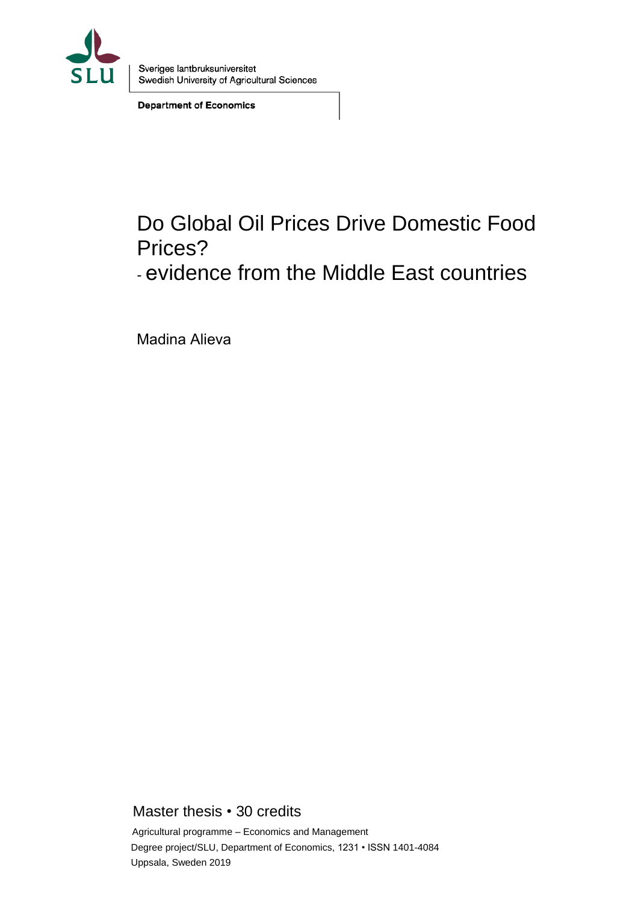

Sveriges lantbruksuniversitet Swedish University of Agricultural Sciences

**Department of Economics** 

# Do Global Oil Prices Drive Domestic Food Prices?

- evidence from the Middle East countries

Madina Alieva

Master thesis • 30 credits

Agricultural programme – Economics and Management Degree project/SLU, Department of Economics, 1231 • ISSN 1401-4084 Uppsala, Sweden 2019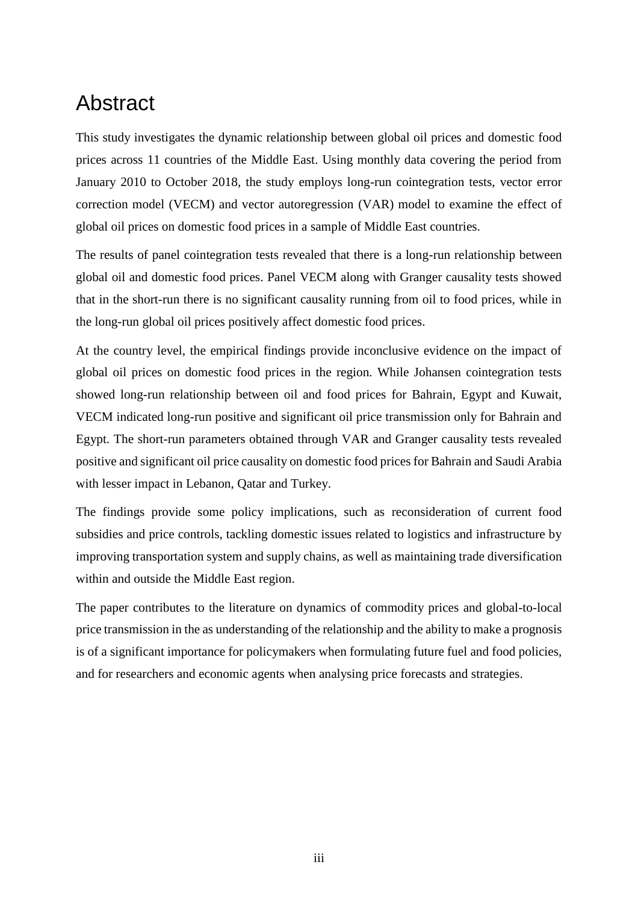## Abstract

This study investigates the dynamic relationship between global oil prices and domestic food prices across 11 countries of the Middle East. Using monthly data covering the period from January 2010 to October 2018, the study employs long-run cointegration tests, vector error correction model (VECM) and vector autoregression (VAR) model to examine the effect of global oil prices on domestic food prices in a sample of Middle East countries.

The results of panel cointegration tests revealed that there is a long-run relationship between global oil and domestic food prices. Panel VECM along with Granger causality tests showed that in the short-run there is no significant causality running from oil to food prices, while in the long-run global oil prices positively affect domestic food prices.

At the country level, the empirical findings provide inconclusive evidence on the impact of global oil prices on domestic food prices in the region. While Johansen cointegration tests showed long-run relationship between oil and food prices for Bahrain, Egypt and Kuwait, VECM indicated long-run positive and significant oil price transmission only for Bahrain and Egypt. The short-run parameters obtained through VAR and Granger causality tests revealed positive and significant oil price causality on domestic food prices for Bahrain and Saudi Arabia with lesser impact in Lebanon, Qatar and Turkey.

The findings provide some policy implications, such as reconsideration of current food subsidies and price controls, tackling domestic issues related to logistics and infrastructure by improving transportation system and supply chains, as well as maintaining trade diversification within and outside the Middle East region.

The paper contributes to the literature on dynamics of commodity prices and global-to-local price transmission in the as understanding of the relationship and the ability to make a prognosis is of a significant importance for policymakers when formulating future fuel and food policies, and for researchers and economic agents when analysing price forecasts and strategies.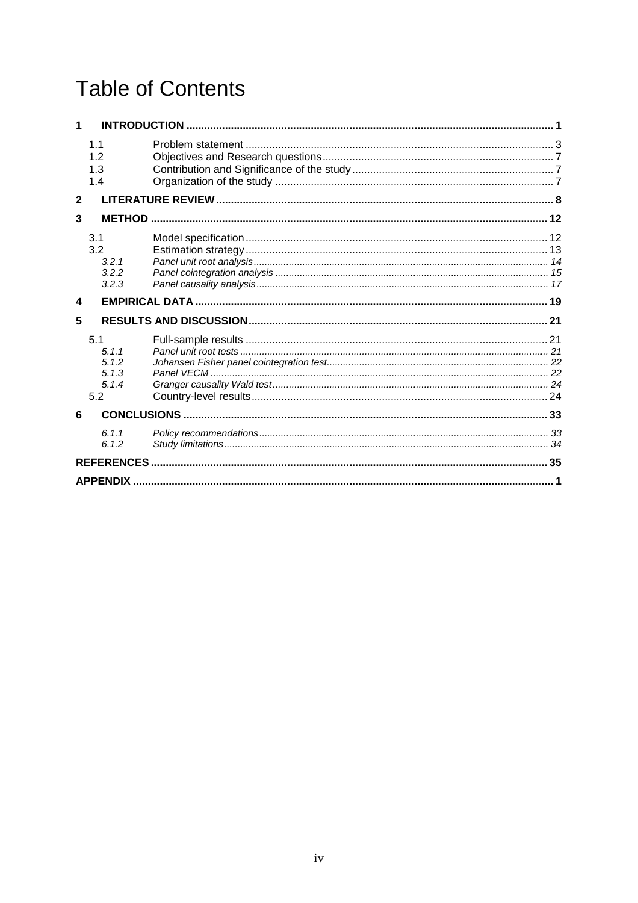# **Table of Contents**

|              | 1.1<br>12<br>1.3<br>1.4                        |  |
|--------------|------------------------------------------------|--|
| $\mathbf{2}$ |                                                |  |
| 3            |                                                |  |
|              | 3.1<br>3.2<br>3.2.1<br>3.2.2<br>3.2.3          |  |
| 4            |                                                |  |
| 5            |                                                |  |
|              | 5.1<br>5.1.1<br>5.1.2<br>5.1.3<br>5.1.4<br>5.2 |  |
| 6            |                                                |  |
|              | 6.1.1<br>6.1.2                                 |  |
|              |                                                |  |
|              | <b>APPENDIX.</b>                               |  |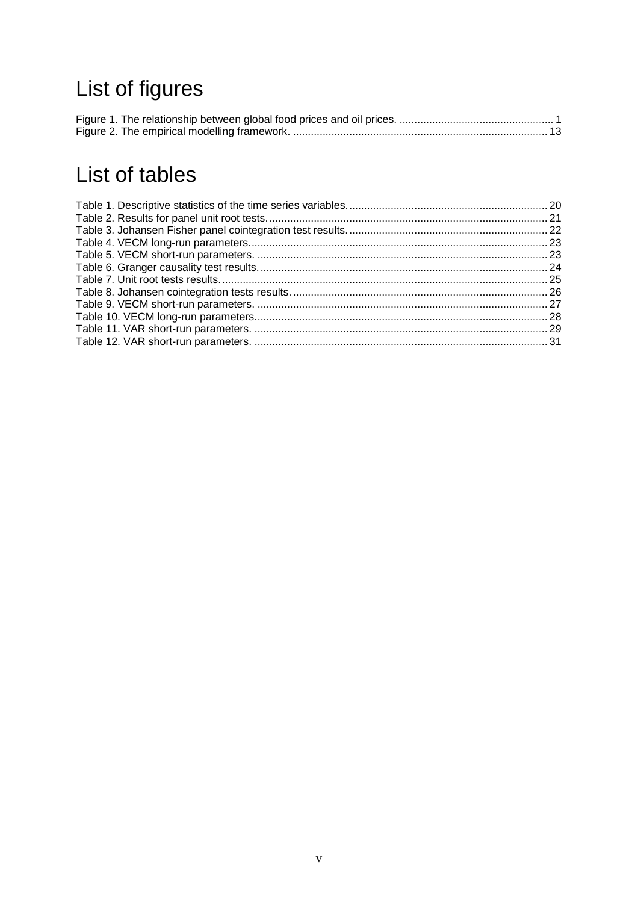# List of figures

# List of tables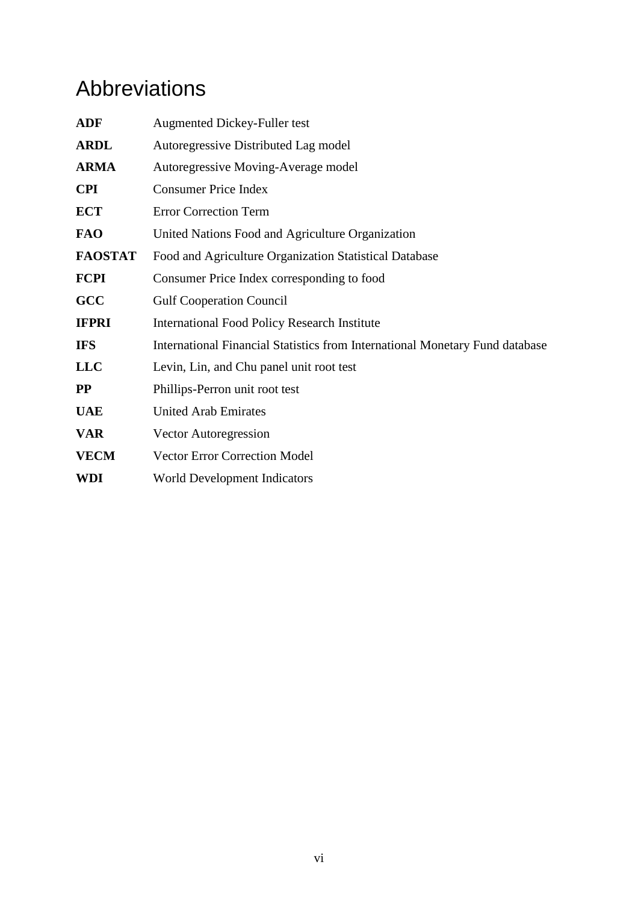# Abbreviations

| <b>ADF</b>     | <b>Augmented Dickey-Fuller test</b>                                          |
|----------------|------------------------------------------------------------------------------|
| <b>ARDL</b>    | Autoregressive Distributed Lag model                                         |
| <b>ARMA</b>    | Autoregressive Moving-Average model                                          |
| <b>CPI</b>     | <b>Consumer Price Index</b>                                                  |
| <b>ECT</b>     | <b>Error Correction Term</b>                                                 |
| <b>FAO</b>     | United Nations Food and Agriculture Organization                             |
| <b>FAOSTAT</b> | Food and Agriculture Organization Statistical Database                       |
| <b>FCPI</b>    | Consumer Price Index corresponding to food                                   |
| GCC            | <b>Gulf Cooperation Council</b>                                              |
| <b>IFPRI</b>   | <b>International Food Policy Research Institute</b>                          |
| <b>IFS</b>     | International Financial Statistics from International Monetary Fund database |
| <b>LLC</b>     | Levin, Lin, and Chu panel unit root test                                     |
| $\bf PP$       | Phillips-Perron unit root test                                               |
| <b>UAE</b>     | <b>United Arab Emirates</b>                                                  |
| <b>VAR</b>     | <b>Vector Autoregression</b>                                                 |
| <b>VECM</b>    | <b>Vector Error Correction Model</b>                                         |
| <b>WDI</b>     | <b>World Development Indicators</b>                                          |
|                |                                                                              |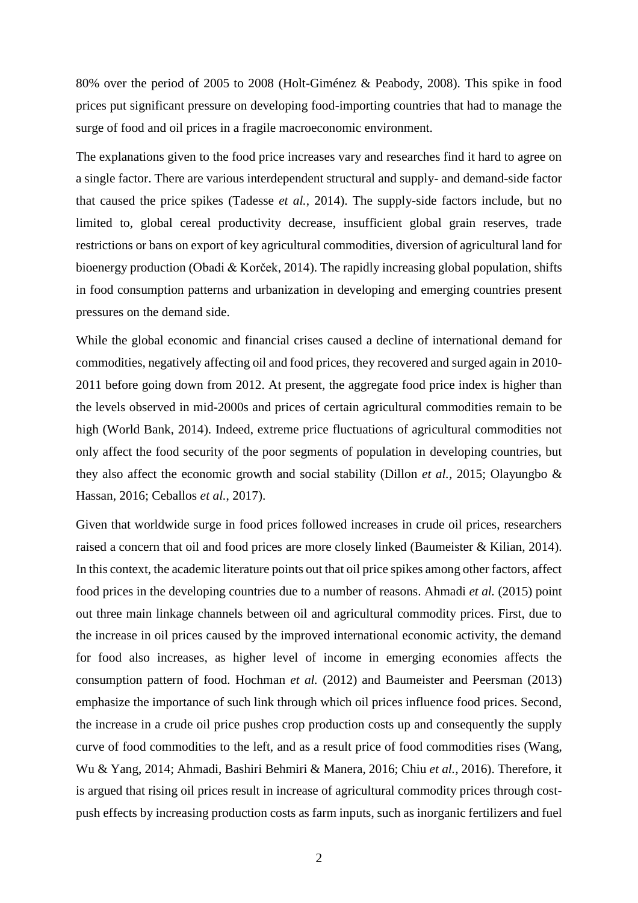80% over the period of 2005 to 2008 (Holt-Giménez & Peabody, 2008). This spike in food prices put significant pressure on developing food-importing countries that had to manage the surge of food and oil prices in a fragile macroeconomic environment.

The explanations given to the food price increases vary and researches find it hard to agree on a single factor. There are various interdependent structural and supply- and demand-side factor that caused the price spikes (Tadesse *et al.*, 2014). The supply-side factors include, but no limited to, global cereal productivity decrease, insufficient global grain reserves, trade restrictions or bans on export of key agricultural commodities, diversion of agricultural land for bioenergy production (Obadi & Korček, 2014). The rapidly increasing global population, shifts in food consumption patterns and urbanization in developing and emerging countries present pressures on the demand side.

While the global economic and financial crises caused a decline of international demand for commodities, negatively affecting oil and food prices, they recovered and surged again in 2010- 2011 before going down from 2012. At present, the aggregate food price index is higher than the levels observed in mid-2000s and prices of certain agricultural commodities remain to be high (World Bank, 2014). Indeed, extreme price fluctuations of agricultural commodities not only affect the food security of the poor segments of population in developing countries, but they also affect the economic growth and social stability (Dillon *et al.*, 2015; Olayungbo & Hassan, 2016; Ceballos *et al.*, 2017).

Given that worldwide surge in food prices followed increases in crude oil prices, researchers raised a concern that oil and food prices are more closely linked (Baumeister & Kilian, 2014). In this context, the academic literature points out that oil price spikes among other factors, affect food prices in the developing countries due to a number of reasons. Ahmadi *et al.* (2015) point out three main linkage channels between oil and agricultural commodity prices. First, due to the increase in oil prices caused by the improved international economic activity, the demand for food also increases, as higher level of income in emerging economies affects the consumption pattern of food. Hochman *et al.* (2012) and Baumeister and Peersman (2013) emphasize the importance of such link through which oil prices influence food prices. Second, the increase in a crude oil price pushes crop production costs up and consequently the supply curve of food commodities to the left, and as a result price of food commodities rises (Wang, Wu & Yang, 2014; Ahmadi, Bashiri Behmiri & Manera, 2016; Chiu *et al.*, 2016). Therefore, it is argued that rising oil prices result in increase of agricultural commodity prices through costpush effects by increasing production costs as farm inputs, such as inorganic fertilizers and fuel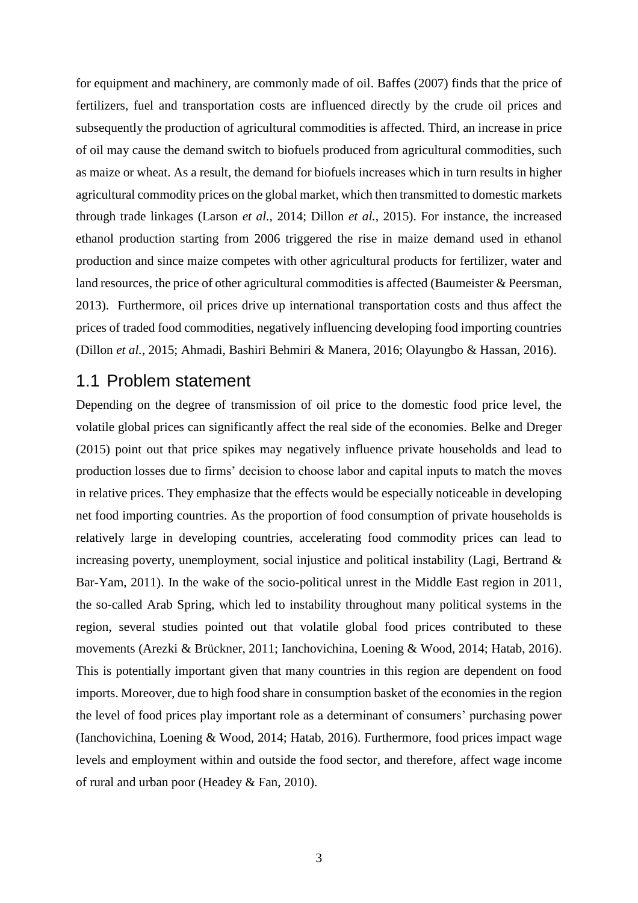for equipment and machinery, are commonly made of oil. Baffes (2007) finds that the price of fertilizers, fuel and transportation costs are influenced directly by the crude oil prices and subsequently the production of agricultural commodities is affected. Third, an increase in price of oil may cause the demand switch to biofuels produced from agricultural commodities, such as maize or wheat. As a result, the demand for biofuels increases which in turn results in higher agricultural commodity prices on the global market, which then transmitted to domestic markets through trade linkages (Larson *et al.*, 2014; Dillon *et al.*, 2015). For instance, the increased ethanol production starting from 2006 triggered the rise in maize demand used in ethanol production and since maize competes with other agricultural products for fertilizer, water and land resources, the price of other agricultural commodities is affected (Baumeister & Peersman, 2013). Furthermore, oil prices drive up international transportation costs and thus affect the prices of traded food commodities, negatively influencing developing food importing countries (Dillon *et al.*, 2015; Ahmadi, Bashiri Behmiri & Manera, 2016; Olayungbo & Hassan, 2016).

### <span id="page-10-0"></span>1.1 Problem statement

Depending on the degree of transmission of oil price to the domestic food price level, the volatile global prices can significantly affect the real side of the economies. Belke and Dreger (2015) point out that price spikes may negatively influence private households and lead to production losses due to firms' decision to choose labor and capital inputs to match the moves in relative prices. They emphasize that the effects would be especially noticeable in developing net food importing countries. As the proportion of food consumption of private households is relatively large in developing countries, accelerating food commodity prices can lead to increasing poverty, unemployment, social injustice and political instability (Lagi, Bertrand & Bar-Yam, 2011). In the wake of the socio-political unrest in the Middle East region in 2011, the so-called Arab Spring, which led to instability throughout many political systems in the region, several studies pointed out that volatile global food prices contributed to these movements (Arezki & Brückner, 2011; Ianchovichina, Loening & Wood, 2014; Hatab, 2016). This is potentially important given that many countries in this region are dependent on food imports. Moreover, due to high food share in consumption basket of the economies in the region the level of food prices play important role as a determinant of consumers' purchasing power (Ianchovichina, Loening & Wood, 2014; Hatab, 2016). Furthermore, food prices impact wage levels and employment within and outside the food sector, and therefore, affect wage income of rural and urban poor (Headey & Fan, 2010).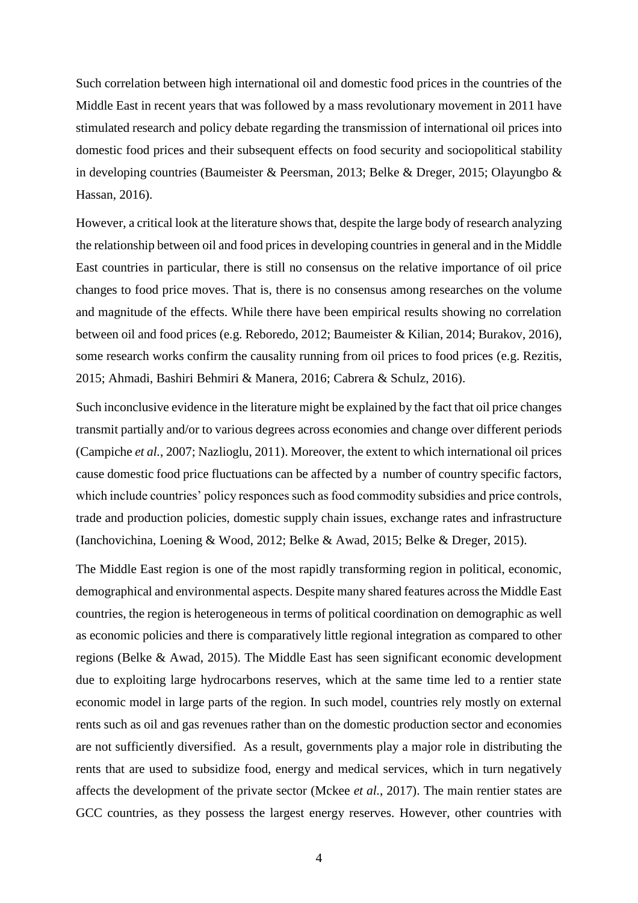Such correlation between high international oil and domestic food prices in the countries of the Middle East in recent years that was followed by a mass revolutionary movement in 2011 have stimulated research and policy debate regarding the transmission of international oil prices into domestic food prices and their subsequent effects on food security and sociopolitical stability in developing countries (Baumeister & Peersman, 2013; Belke & Dreger, 2015; Olayungbo & Hassan, 2016).

However, a critical look at the literature shows that, despite the large body of research analyzing the relationship between oil and food prices in developing countries in general and in the Middle East countries in particular, there is still no consensus on the relative importance of oil price changes to food price moves. That is, there is no consensus among researches on the volume and magnitude of the effects. While there have been empirical results showing no correlation between oil and food prices (e.g. Reboredo, 2012; Baumeister & Kilian, 2014; Burakov, 2016), some research works confirm the causality running from oil prices to food prices (e.g. Rezitis, 2015; Ahmadi, Bashiri Behmiri & Manera, 2016; Cabrera & Schulz, 2016).

Such inconclusive evidence in the literature might be explained by the fact that oil price changes transmit partially and/or to various degrees across economies and change over different periods (Campiche *et al.*, 2007; Nazlioglu, 2011). Moreover, the extent to which international oil prices cause domestic food price fluctuations can be affected by a number of country specific factors, which include countries' policy responces such as food commodity subsidies and price controls, trade and production policies, domestic supply chain issues, exchange rates and infrastructure (Ianchovichina, Loening & Wood, 2012; Belke & Awad, 2015; Belke & Dreger, 2015).

The Middle East region is one of the most rapidly transforming region in political, economic, demographical and environmental aspects. Despite many shared features across the Middle East countries, the region is heterogeneous in terms of political coordination on demographic as well as economic policies and there is comparatively little regional integration as compared to other regions (Belke & Awad, 2015). The Middle East has seen significant economic development due to exploiting large hydrocarbons reserves, which at the same time led to a rentier state economic model in large parts of the region. In such model, countries rely mostly on external rents such as oil and gas revenues rather than on the domestic production sector and economies are not sufficiently diversified. As a result, governments play a major role in distributing the rents that are used to subsidize food, energy and medical services, which in turn negatively affects the development of the private sector (Mckee *et al.*, 2017). The main rentier states are GCC countries, as they possess the largest energy reserves. However, other countries with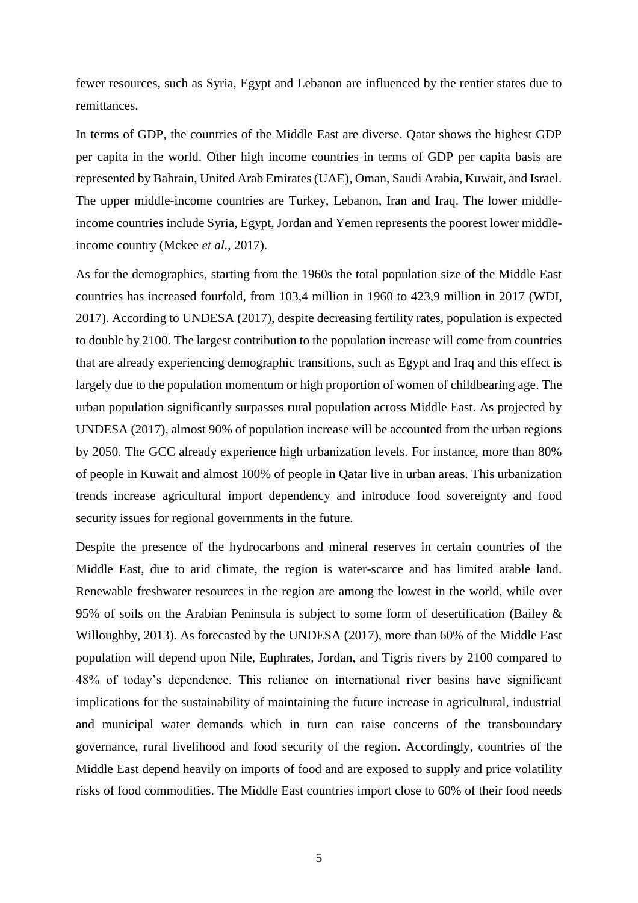fewer resources, such as Syria, Egypt and Lebanon are influenced by the rentier states due to remittances.

In terms of GDP, the countries of the Middle East are diverse. Qatar shows the highest GDP per capita in the world. Other high income countries in terms of GDP per capita basis are represented by Bahrain, United Arab Emirates (UAE), Oman, Saudi Arabia, Kuwait, and Israel. The upper middle-income countries are Turkey, Lebanon, Iran and Iraq. The lower middleincome countries include Syria, Egypt, Jordan and Yemen represents the poorest lower middleincome country (Mckee *et al.*, 2017).

As for the demographics, starting from the 1960s the total population size of the Middle East countries has increased fourfold, from 103,4 million in 1960 to 423,9 million in 2017 (WDI, 2017). According to UNDESA (2017), despite decreasing fertility rates, population is expected to double by 2100. The largest contribution to the population increase will come from countries that are already experiencing demographic transitions, such as Egypt and Iraq and this effect is largely due to the population momentum or high proportion of women of childbearing age. The urban population significantly surpasses rural population across Middle East. As projected by UNDESA (2017), almost 90% of population increase will be accounted from the urban regions by 2050. The GCC already experience high urbanization levels. For instance, more than 80% of people in Kuwait and almost 100% of people in Qatar live in urban areas. This urbanization trends increase agricultural import dependency and introduce food sovereignty and food security issues for regional governments in the future.

Despite the presence of the hydrocarbons and mineral reserves in certain countries of the Middle East, due to arid climate, the region is water-scarce and has limited arable land. Renewable freshwater resources in the region are among the lowest in the world, while over 95% of soils on the Arabian Peninsula is subject to some form of desertification (Bailey  $\&$ Willoughby, 2013). As forecasted by the UNDESA (2017), more than 60% of the Middle East population will depend upon Nile, Euphrates, Jordan, and Tigris rivers by 2100 compared to 48% of today's dependence. This reliance on international river basins have significant implications for the sustainability of maintaining the future increase in agricultural, industrial and municipal water demands which in turn can raise concerns of the transboundary governance, rural livelihood and food security of the region. Accordingly, countries of the Middle East depend heavily on imports of food and are exposed to supply and price volatility risks of food commodities. The Middle East countries import close to 60% of their food needs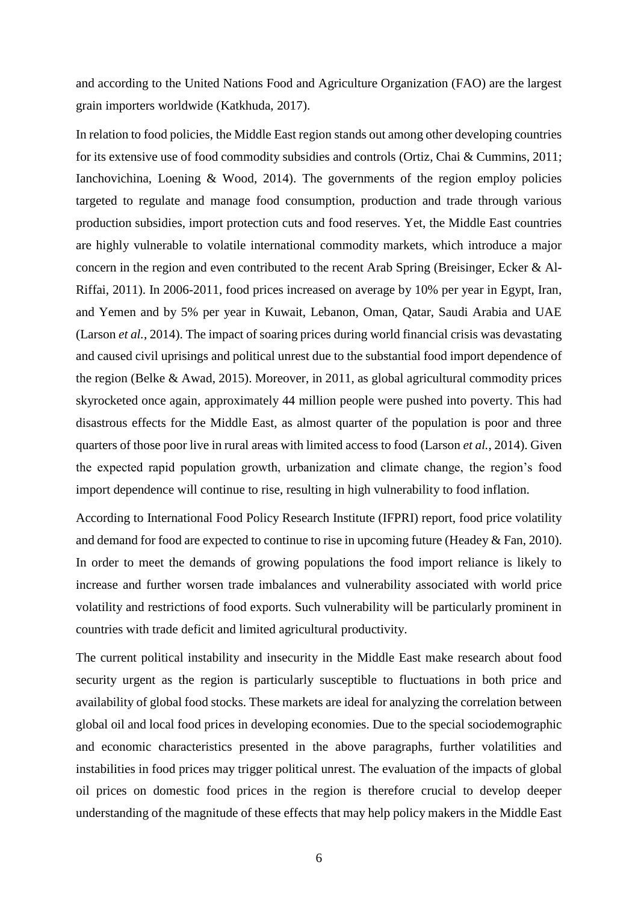and according to the United Nations Food and Agriculture Organization (FAO) are the largest grain importers worldwide (Katkhuda, 2017).

In relation to food policies, the Middle East region stands out among other developing countries for its extensive use of food commodity subsidies and controls (Ortiz, Chai & Cummins, 2011; Ianchovichina, Loening & Wood, 2014). The governments of the region employ policies targeted to regulate and manage food consumption, production and trade through various production subsidies, import protection cuts and food reserves. Yet, the Middle East countries are highly vulnerable to volatile international commodity markets, which introduce a major concern in the region and even contributed to the recent Arab Spring (Breisinger, Ecker & Al-Riffai, 2011). In 2006-2011, food prices increased on average by 10% per year in Egypt, Iran, and Yemen and by 5% per year in Kuwait, Lebanon, Oman, Qatar, Saudi Arabia and UAE (Larson *et al.*, 2014). The impact of soaring prices during world financial crisis was devastating and caused civil uprisings and political unrest due to the substantial food import dependence of the region (Belke & Awad, 2015). Moreover, in 2011, as global agricultural commodity prices skyrocketed once again, approximately 44 million people were pushed into poverty. This had disastrous effects for the Middle East, as almost quarter of the population is poor and three quarters of those poor live in rural areas with limited access to food (Larson *et al.*, 2014). Given the expected rapid population growth, urbanization and climate change, the region's food import dependence will continue to rise, resulting in high vulnerability to food inflation.

According to International Food Policy Research Institute (IFPRI) report, food price volatility and demand for food are expected to continue to rise in upcoming future (Headey & Fan, 2010). In order to meet the demands of growing populations the food import reliance is likely to increase and further worsen trade imbalances and vulnerability associated with world price volatility and restrictions of food exports. Such vulnerability will be particularly prominent in countries with trade deficit and limited agricultural productivity.

The current political instability and insecurity in the Middle East make research about food security urgent as the region is particularly susceptible to fluctuations in both price and availability of global food stocks. These markets are ideal for analyzing the correlation between global oil and local food prices in developing economies. Due to the special sociodemographic and economic characteristics presented in the above paragraphs, further volatilities and instabilities in food prices may trigger political unrest. The evaluation of the impacts of global oil prices on domestic food prices in the region is therefore crucial to develop deeper understanding of the magnitude of these effects that may help policy makers in the Middle East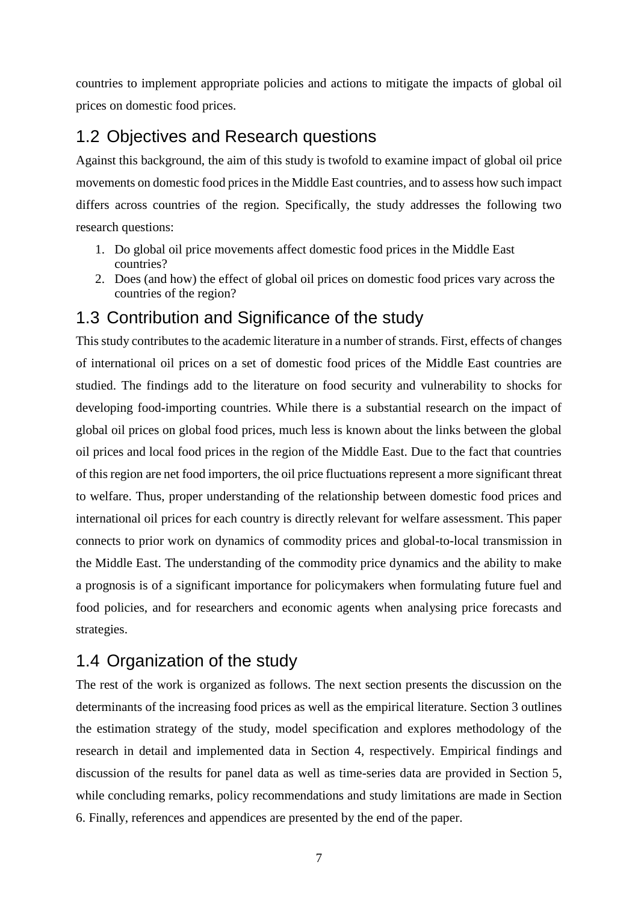countries to implement appropriate policies and actions to mitigate the impacts of global oil prices on domestic food prices.

## <span id="page-14-0"></span>1.2 Objectives and Research questions

Against this background, the aim of this study is twofold to examine impact of global oil price movements on domestic food prices in the Middle East countries, and to assess how such impact differs across countries of the region. Specifically, the study addresses the following two research questions:

- 1. Do global oil price movements affect domestic food prices in the Middle East countries?
- 2. Does (and how) the effect of global oil prices on domestic food prices vary across the countries of the region?

## <span id="page-14-1"></span>1.3 Contribution and Significance of the study

This study contributes to the academic literature in a number of strands. First, effects of changes of international oil prices on a set of domestic food prices of the Middle East countries are studied. The findings add to the literature on food security and vulnerability to shocks for developing food-importing countries. While there is a substantial research on the impact of global oil prices on global food prices, much less is known about the links between the global oil prices and local food prices in the region of the Middle East. Due to the fact that countries of this region are net food importers, the oil price fluctuations represent a more significant threat to welfare. Thus, proper understanding of the relationship between domestic food prices and international oil prices for each country is directly relevant for welfare assessment. This paper connects to prior work on dynamics of commodity prices and global-to-local transmission in the Middle East. The understanding of the commodity price dynamics and the ability to make a prognosis is of a significant importance for policymakers when formulating future fuel and food policies, and for researchers and economic agents when analysing price forecasts and strategies.

## <span id="page-14-2"></span>1.4 Organization of the study

The rest of the work is organized as follows. The next section presents the discussion on the determinants of the increasing food prices as well as the empirical literature. Section 3 outlines the estimation strategy of the study, model specification and explores methodology of the research in detail and implemented data in Section 4, respectively. Empirical findings and discussion of the results for panel data as well as time-series data are provided in Section 5, while concluding remarks, policy recommendations and study limitations are made in Section 6. Finally, references and appendices are presented by the end of the paper.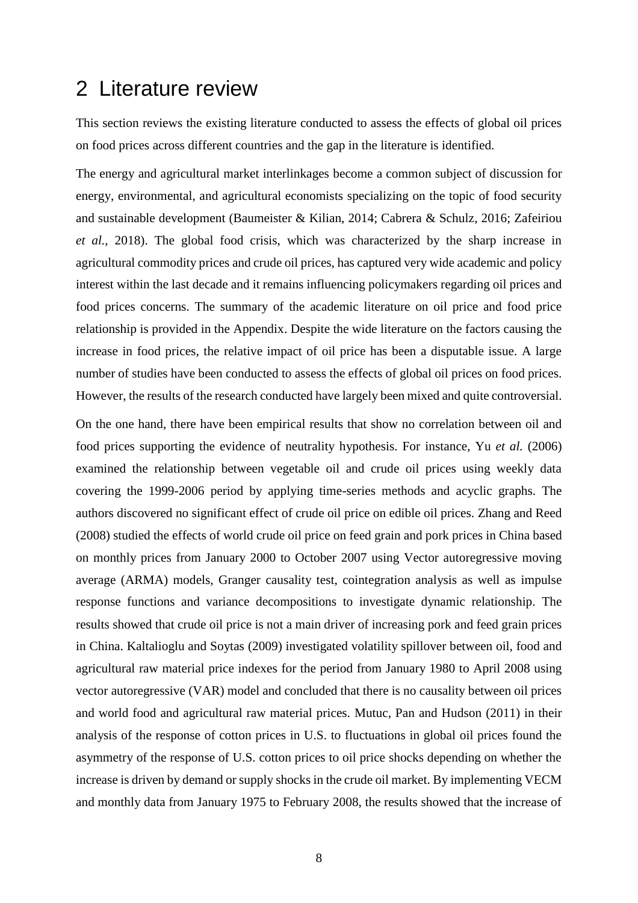## <span id="page-15-0"></span>2 Literature review

This section reviews the existing literature conducted to assess the effects of global oil prices on food prices across different countries and the gap in the literature is identified.

The energy and agricultural market interlinkages become a common subject of discussion for energy, environmental, and agricultural economists specializing on the topic of food security and sustainable development (Baumeister & Kilian, 2014; Cabrera & Schulz, 2016; Zafeiriou *et al.*, 2018). The global food crisis, which was characterized by the sharp increase in agricultural commodity prices and crude oil prices, has captured very wide academic and policy interest within the last decade and it remains influencing policymakers regarding oil prices and food prices concerns. The summary of the academic literature on oil price and food price relationship is provided in the Appendix. Despite the wide literature on the factors causing the increase in food prices, the relative impact of oil price has been a disputable issue. A large number of studies have been conducted to assess the effects of global oil prices on food prices. However, the results of the research conducted have largely been mixed and quite controversial.

On the one hand, there have been empirical results that show no correlation between oil and food prices supporting the evidence of neutrality hypothesis. For instance, Yu *et al.* (2006) examined the relationship between vegetable oil and crude oil prices using weekly data covering the 1999-2006 period by applying time-series methods and acyclic graphs. The authors discovered no significant effect of crude oil price on edible oil prices. Zhang and Reed (2008) studied the effects of world crude oil price on feed grain and pork prices in China based on monthly prices from January 2000 to October 2007 using Vector autoregressive moving average (ARMA) models, Granger causality test, cointegration analysis as well as impulse response functions and variance decompositions to investigate dynamic relationship. The results showed that crude oil price is not a main driver of increasing pork and feed grain prices in China. Kaltalioglu and Soytas (2009) investigated volatility spillover between oil, food and agricultural raw material price indexes for the period from January 1980 to April 2008 using vector autoregressive (VAR) model and concluded that there is no causality between oil prices and world food and agricultural raw material prices. Mutuc, Pan and Hudson (2011) in their analysis of the response of cotton prices in U.S. to fluctuations in global oil prices found the asymmetry of the response of U.S. cotton prices to oil price shocks depending on whether the increase is driven by demand or supply shocks in the crude oil market. By implementing VECM and monthly data from January 1975 to February 2008, the results showed that the increase of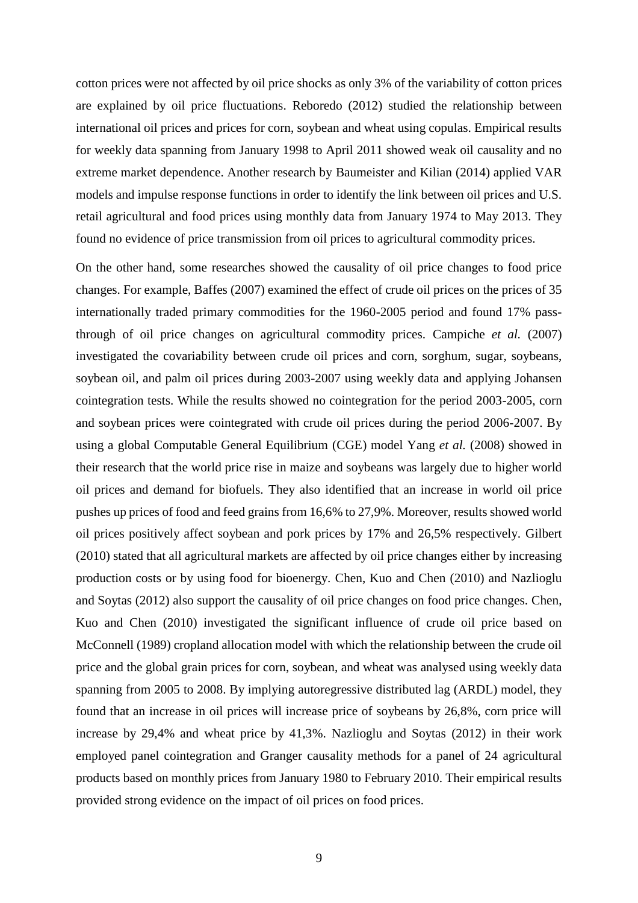cotton prices were not affected by oil price shocks as only 3% of the variability of cotton prices are explained by oil price fluctuations. Reboredo (2012) studied the relationship between international oil prices and prices for corn, soybean and wheat using copulas. Empirical results for weekly data spanning from January 1998 to April 2011 showed weak oil causality and no extreme market dependence. Another research by Baumeister and Kilian (2014) applied VAR models and impulse response functions in order to identify the link between oil prices and U.S. retail agricultural and food prices using monthly data from January 1974 to May 2013. They found no evidence of price transmission from oil prices to agricultural commodity prices.

On the other hand, some researches showed the causality of oil price changes to food price changes. For example, Baffes (2007) examined the effect of crude oil prices on the prices of 35 internationally traded primary commodities for the 1960-2005 period and found 17% passthrough of oil price changes on agricultural commodity prices. Campiche *et al.* (2007) investigated the covariability between crude oil prices and corn, sorghum, sugar, soybeans, soybean oil, and palm oil prices during 2003-2007 using weekly data and applying Johansen cointegration tests. While the results showed no cointegration for the period 2003-2005, corn and soybean prices were cointegrated with crude oil prices during the period 2006-2007. By using a global Computable General Equilibrium (CGE) model Yang *et al.* (2008) showed in their research that the world price rise in maize and soybeans was largely due to higher world oil prices and demand for biofuels. They also identified that an increase in world oil price pushes up prices of food and feed grains from 16,6% to 27,9%. Moreover, results showed world oil prices positively affect soybean and pork prices by 17% and 26,5% respectively. Gilbert (2010) stated that all agricultural markets are affected by oil price changes either by increasing production costs or by using food for bioenergy. Chen, Kuo and Chen (2010) and Nazlioglu and Soytas (2012) also support the causality of oil price changes on food price changes. Chen, Kuo and Chen (2010) investigated the significant influence of crude oil price based on McConnell (1989) cropland allocation model with which the relationship between the crude oil price and the global grain prices for corn, soybean, and wheat was analysed using weekly data spanning from 2005 to 2008. By implying autoregressive distributed lag (ARDL) model, they found that an increase in oil prices will increase price of soybeans by 26,8%, corn price will increase by 29,4% and wheat price by 41,3%. Nazlioglu and Soytas (2012) in their work employed panel cointegration and Granger causality methods for a panel of 24 agricultural products based on monthly prices from January 1980 to February 2010. Their empirical results provided strong evidence on the impact of oil prices on food prices.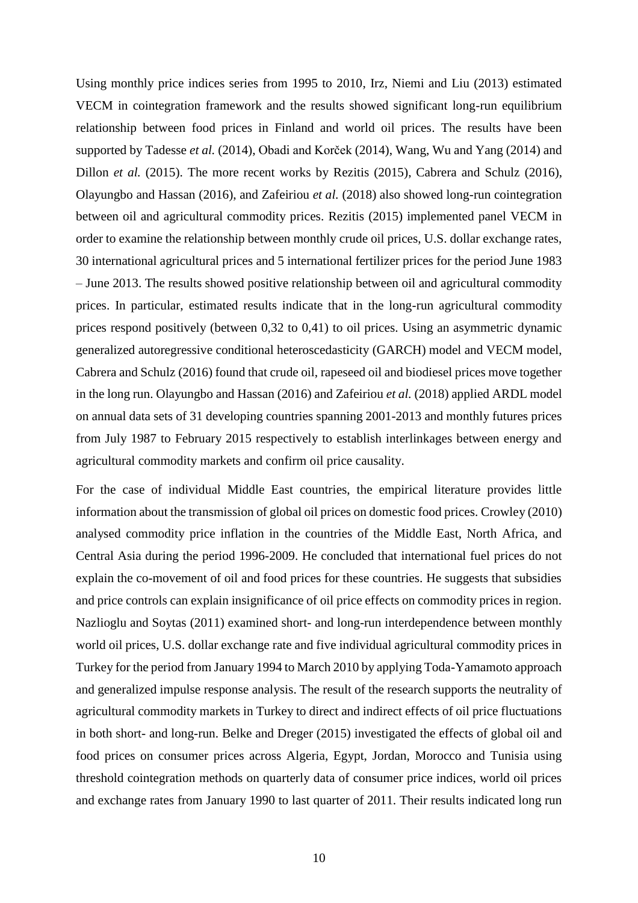Using monthly price indices series from 1995 to 2010, Irz, Niemi and Liu (2013) estimated VECM in cointegration framework and the results showed significant long-run equilibrium relationship between food prices in Finland and world oil prices. The results have been supported by Tadesse *et al.* (2014), Obadi and Korček (2014), Wang, Wu and Yang (2014) and Dillon *et al.* (2015). The more recent works by Rezitis (2015), Cabrera and Schulz (2016), Olayungbo and Hassan (2016), and Zafeiriou *et al.* (2018) also showed long-run cointegration between oil and agricultural commodity prices. Rezitis (2015) implemented panel VECM in order to examine the relationship between monthly crude oil prices, U.S. dollar exchange rates, 30 international agricultural prices and 5 international fertilizer prices for the period June 1983 – June 2013. The results showed positive relationship between oil and agricultural commodity prices. In particular, estimated results indicate that in the long-run agricultural commodity prices respond positively (between 0,32 to 0,41) to oil prices. Using an asymmetric dynamic generalized autoregressive conditional heteroscedasticity (GARCH) model and VECM model, Cabrera and Schulz (2016) found that crude oil, rapeseed oil and biodiesel prices move together in the long run. Olayungbo and Hassan (2016) and Zafeiriou *et al.* (2018) applied ARDL model on annual data sets of 31 developing countries spanning 2001-2013 and monthly futures prices from July 1987 to February 2015 respectively to establish interlinkages between energy and agricultural commodity markets and confirm oil price causality.

For the case of individual Middle East countries, the empirical literature provides little information about the transmission of global oil prices on domestic food prices. Crowley (2010) analysed commodity price inflation in the countries of the Middle East, North Africa, and Central Asia during the period 1996-2009. He concluded that international fuel prices do not explain the co-movement of oil and food prices for these countries. He suggests that subsidies and price controls can explain insignificance of oil price effects on commodity prices in region. Nazlioglu and Soytas (2011) examined short- and long-run interdependence between monthly world oil prices, U.S. dollar exchange rate and five individual agricultural commodity prices in Turkey for the period from January 1994 to March 2010 by applying Toda-Yamamoto approach and generalized impulse response analysis. The result of the research supports the neutrality of agricultural commodity markets in Turkey to direct and indirect effects of oil price fluctuations in both short- and long-run. Belke and Dreger (2015) investigated the effects of global oil and food prices on consumer prices across Algeria, Egypt, Jordan, Morocco and Tunisia using threshold cointegration methods on quarterly data of consumer price indices, world oil prices and exchange rates from January 1990 to last quarter of 2011. Their results indicated long run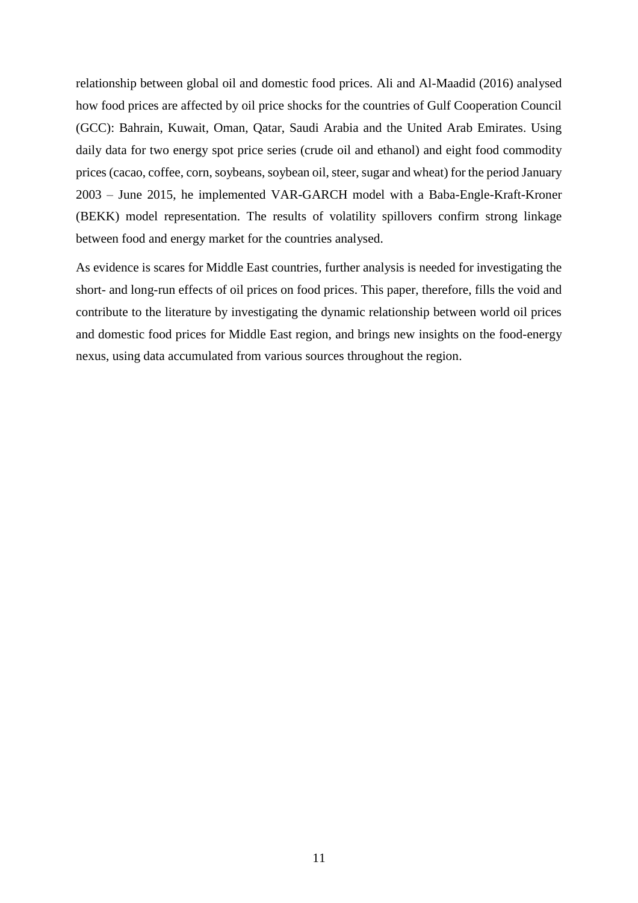relationship between global oil and domestic food prices. Ali and Al-Maadid (2016) analysed how food prices are affected by oil price shocks for the countries of Gulf Cooperation Council (GCC): Bahrain, Kuwait, Oman, Qatar, Saudi Arabia and the United Arab Emirates. Using daily data for two energy spot price series (crude oil and ethanol) and eight food commodity prices (cacao, coffee, corn, soybeans, soybean oil, steer, sugar and wheat) for the period January 2003 – June 2015, he implemented VAR-GARCH model with a Baba-Engle-Kraft-Kroner (BEKK) model representation. The results of volatility spillovers confirm strong linkage between food and energy market for the countries analysed.

As evidence is scares for Middle East countries, further analysis is needed for investigating the short- and long-run effects of oil prices on food prices. This paper, therefore, fills the void and contribute to the literature by investigating the dynamic relationship between world oil prices and domestic food prices for Middle East region, and brings new insights on the food-energy nexus, using data accumulated from various sources throughout the region.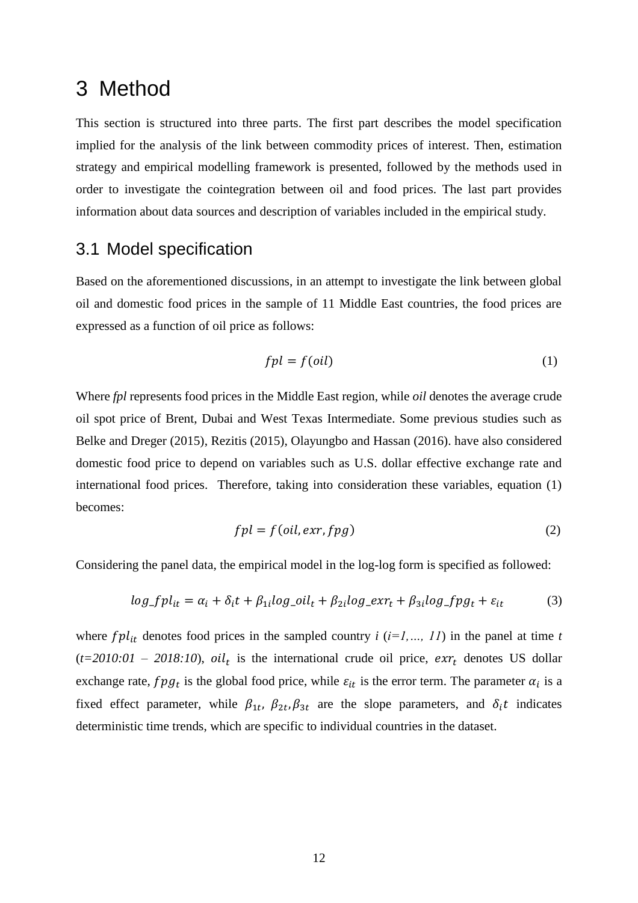## <span id="page-19-0"></span>3 Method

This section is structured into three parts. The first part describes the model specification implied for the analysis of the link between commodity prices of interest. Then, estimation strategy and empirical modelling framework is presented, followed by the methods used in order to investigate the cointegration between oil and food prices. The last part provides information about data sources and description of variables included in the empirical study.

## <span id="page-19-1"></span>3.1 Model specification

Based on the aforementioned discussions, in an attempt to investigate the link between global oil and domestic food prices in the sample of 11 Middle East countries, the food prices are expressed as a function of oil price as follows:

$$
fpl = f(oil)
$$
 (1)

Where *fpl* represents food prices in the Middle East region, while *oil* denotes the average crude oil spot price of Brent, Dubai and West Texas Intermediate. Some previous studies such as Belke and Dreger (2015), Rezitis (2015), Olayungbo and Hassan (2016). have also considered domestic food price to depend on variables such as U.S. dollar effective exchange rate and international food prices. Therefore, taking into consideration these variables, equation (1) becomes:

$$
fpl = f(oil, \text{exr}, \text{fpg})
$$
\n<sup>(2)</sup>

Considering the panel data, the empirical model in the log-log form is specified as followed:

$$
log_f p_{it} = \alpha_i + \delta_i t + \beta_{1i} log_c o_{it} + \beta_{2i} log_c x r_t + \beta_{3i} log_f p g_t + \varepsilon_{it}
$$
(3)

where  $fpl_{it}$  denotes food prices in the sampled country  $i$  ( $i=1,..., 11$ ) in the panel at time  $t$  $(t=2010:01 - 2018:10)$ ,  $\sigma l_t$  is the international crude oil price,  $\epsilon \chi r_t$  denotes US dollar exchange rate,  $fpg_t$  is the global food price, while  $\varepsilon_{it}$  is the error term. The parameter  $\alpha_i$  is a fixed effect parameter, while  $\beta_{1t}$ ,  $\beta_{2t}$ ,  $\beta_{3t}$  are the slope parameters, and  $\delta_i t$  indicates deterministic time trends, which are specific to individual countries in the dataset.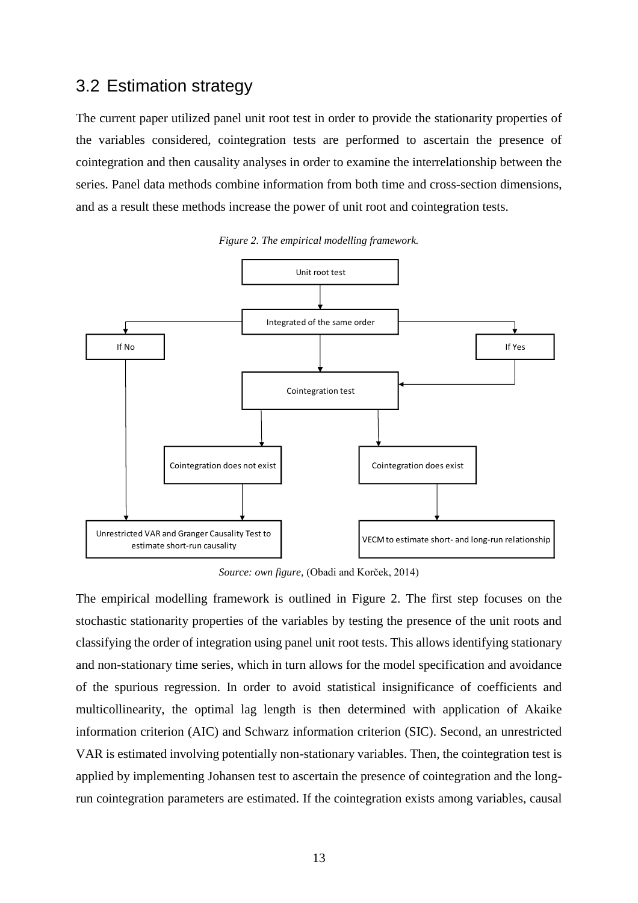## <span id="page-20-0"></span>3.2 Estimation strategy

The current paper utilized panel unit root test in order to provide the stationarity properties of the variables considered, cointegration tests are performed to ascertain the presence of cointegration and then causality analyses in order to examine the interrelationship between the series. Panel data methods combine information from both time and cross-section dimensions, and as a result these methods increase the power of unit root and cointegration tests.

<span id="page-20-1"></span>

*Figure 2. The empirical modelling framework.*

*Source: own figure,* (Obadi and Korček, 2014)

The empirical modelling framework is outlined in Figure 2. The first step focuses on the stochastic stationarity properties of the variables by testing the presence of the unit roots and classifying the order of integration using panel unit root tests. This allows identifying stationary and non-stationary time series, which in turn allows for the model specification and avoidance of the spurious regression. In order to avoid statistical insignificance of coefficients and multicollinearity, the optimal lag length is then determined with application of Akaike information criterion (AIC) and Schwarz information criterion (SIC). Second, an unrestricted VAR is estimated involving potentially non-stationary variables. Then, the cointegration test is applied by implementing Johansen test to ascertain the presence of cointegration and the longrun cointegration parameters are estimated. If the cointegration exists among variables, causal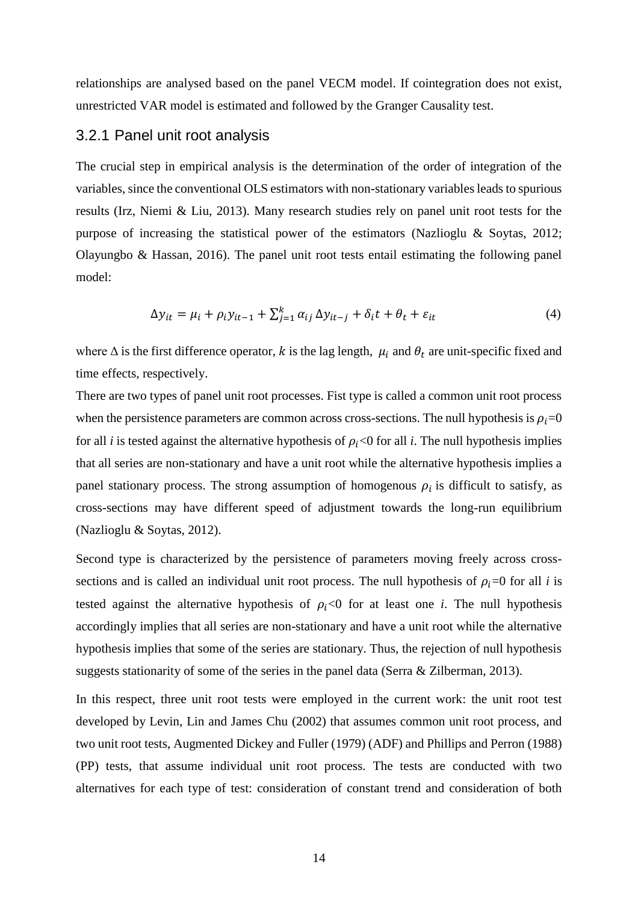relationships are analysed based on the panel VECM model. If cointegration does not exist, unrestricted VAR model is estimated and followed by the Granger Causality test.

### <span id="page-21-0"></span>3.2.1 Panel unit root analysis

The crucial step in empirical analysis is the determination of the order of integration of the variables, since the conventional OLS estimators with non-stationary variables leads to spurious results (Irz, Niemi & Liu, 2013). Many research studies rely on panel unit root tests for the purpose of increasing the statistical power of the estimators (Nazlioglu & Soytas, 2012; Olayungbo & Hassan, 2016). The panel unit root tests entail estimating the following panel model:

$$
\Delta y_{it} = \mu_i + \rho_i y_{it-1} + \sum_{j=1}^k \alpha_{ij} \, \Delta y_{it-j} + \delta_i t + \theta_t + \varepsilon_{it} \tag{4}
$$

where  $\Delta$  is the first difference operator, k is the lag length,  $\mu_i$  and  $\theta_t$  are unit-specific fixed and time effects, respectively.

There are two types of panel unit root processes. Fist type is called a common unit root process when the persistence parameters are common across cross-sections. The null hypothesis is  $\rho_i = 0$ for all *i* is tested against the alternative hypothesis of  $\rho_i$ <0 for all *i*. The null hypothesis implies that all series are non-stationary and have a unit root while the alternative hypothesis implies a panel stationary process. The strong assumption of homogenous  $\rho_i$  is difficult to satisfy, as cross-sections may have different speed of adjustment towards the long-run equilibrium (Nazlioglu & Soytas, 2012).

Second type is characterized by the persistence of parameters moving freely across crosssections and is called an individual unit root process. The null hypothesis of  $\rho_i = 0$  for all *i* is tested against the alternative hypothesis of  $\rho_i$ <0 for at least one *i*. The null hypothesis accordingly implies that all series are non-stationary and have a unit root while the alternative hypothesis implies that some of the series are stationary. Thus, the rejection of null hypothesis suggests stationarity of some of the series in the panel data (Serra & Zilberman, 2013).

In this respect, three unit root tests were employed in the current work: the unit root test developed by Levin, Lin and James Chu (2002) that assumes common unit root process, and two unit root tests, Augmented Dickey and Fuller (1979) (ADF) and Phillips and Perron (1988) (PP) tests, that assume individual unit root process. The tests are conducted with two alternatives for each type of test: consideration of constant trend and consideration of both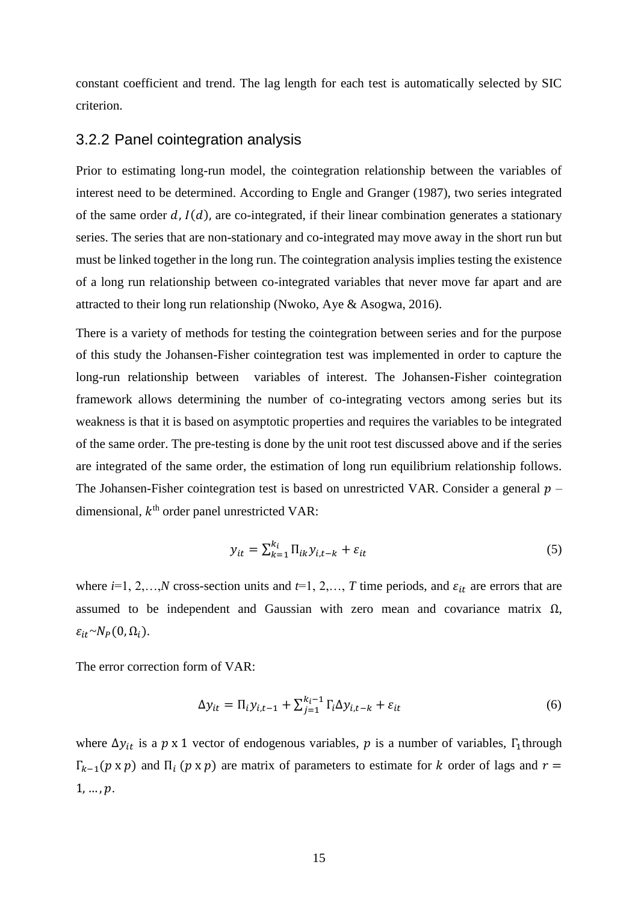constant coefficient and trend. The lag length for each test is automatically selected by SIC criterion.

#### <span id="page-22-0"></span>3.2.2 Panel cointegration analysis

Prior to estimating long-run model, the cointegration relationship between the variables of interest need to be determined. According to Engle and Granger (1987), two series integrated of the same order  $d$ ,  $I(d)$ , are co-integrated, if their linear combination generates a stationary series. The series that are non-stationary and co-integrated may move away in the short run but must be linked together in the long run. The cointegration analysis implies testing the existence of a long run relationship between co-integrated variables that never move far apart and are attracted to their long run relationship (Nwoko, Aye & Asogwa, 2016).

There is a variety of methods for testing the cointegration between series and for the purpose of this study the Johansen-Fisher cointegration test was implemented in order to capture the long-run relationship between variables of interest. The Johansen-Fisher cointegration framework allows determining the number of co-integrating vectors among series but its weakness is that it is based on asymptotic properties and requires the variables to be integrated of the same order. The pre-testing is done by the unit root test discussed above and if the series are integrated of the same order, the estimation of long run equilibrium relationship follows. The Johansen-Fisher cointegration test is based on unrestricted VAR. Consider a general  $p$ dimensional,  $k^{\text{th}}$  order panel unrestricted VAR:

$$
y_{it} = \sum_{k=1}^{k_i} \Pi_{ik} y_{i,t-k} + \varepsilon_{it}
$$
 (5)

where  $i=1, 2,...,N$  cross-section units and  $t=1, 2,..., T$  time periods, and  $\varepsilon_{it}$  are errors that are assumed to be independent and Gaussian with zero mean and covariance matrix  $\Omega$ ,  $\varepsilon_{it} \sim N_P(0,\Omega_i)$ .

The error correction form of VAR:

$$
\Delta y_{it} = \Pi_i y_{i,t-1} + \sum_{j=1}^{k_i - 1} \Gamma_i \Delta y_{i,t-k} + \varepsilon_{it}
$$
\n
$$
\tag{6}
$$

where  $\Delta y_{it}$  is a  $p \times 1$  vector of endogenous variables,  $p$  is a number of variables,  $\Gamma_1$ through  $\Gamma_{k-1}(p \times p)$  and  $\Pi_i$  ( $p \times p$ ) are matrix of parameters to estimate for k order of lags and  $r =$  $1, ..., p.$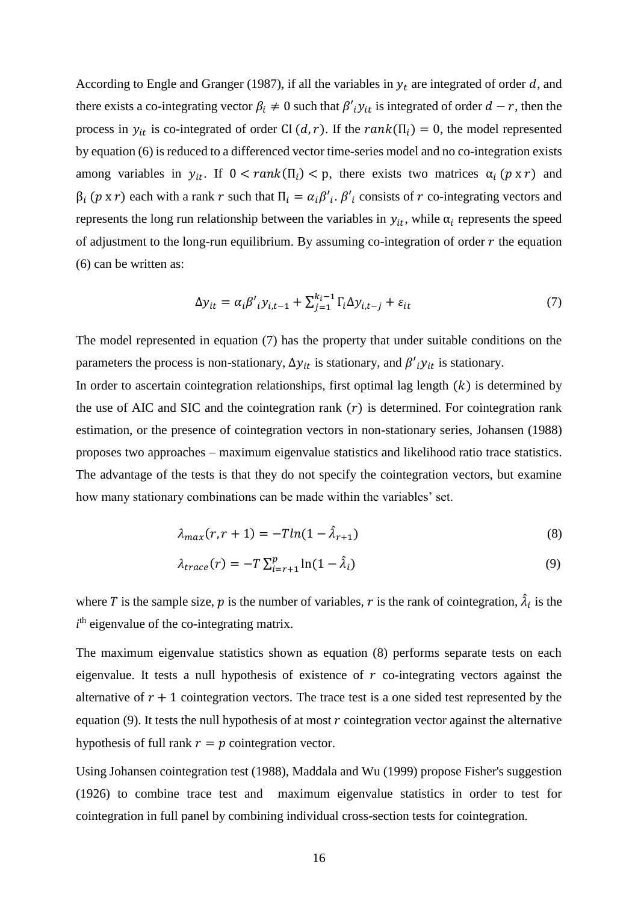According to Engle and Granger (1987), if all the variables in  $y_t$  are integrated of order d, and there exists a co-integrating vector  $\beta_i \neq 0$  such that  $\beta'_{i}y_{it}$  is integrated of order  $d-r$ , then the process in  $y_{it}$  is co-integrated of order CI (d, r). If the rank( $\Pi_i$ ) = 0, the model represented by equation (6) is reduced to a differenced vector time-series model and no co-integration exists among variables in  $y_{it}$ . If  $0 < rank(\Pi_i) < p$ , there exists two matrices  $\alpha_i$  ( $p \times r$ ) and  $\beta_i$  (*p* x *r*) each with a rank *r* such that  $\Pi_i = \alpha_i \beta'_i$ .  $\beta'_i$  consists of *r* co-integrating vectors and represents the long run relationship between the variables in  $y_{it}$ , while  $\alpha_i$  represents the speed of adjustment to the long-run equilibrium. By assuming co-integration of order  $r$  the equation (6) can be written as:

$$
\Delta y_{it} = \alpha_i \beta'_{i} y_{i,t-1} + \sum_{j=1}^{k_i - 1} \Gamma_i \Delta y_{i,t-j} + \varepsilon_{it}
$$
\n<sup>(7)</sup>

The model represented in equation (7) has the property that under suitable conditions on the parameters the process is non-stationary,  $\Delta y_{it}$  is stationary, and  $\beta'_{i}y_{it}$  is stationary.

In order to ascertain cointegration relationships, first optimal lag length  $(k)$  is determined by the use of AIC and SIC and the cointegration rank  $(r)$  is determined. For cointegration rank estimation, or the presence of cointegration vectors in non-stationary series, Johansen (1988) proposes two approaches – maximum eigenvalue statistics and likelihood ratio trace statistics. The advantage of the tests is that they do not specify the cointegration vectors, but examine how many stationary combinations can be made within the variables' set.

$$
\lambda_{max}(r, r+1) = -T ln(1 - \hat{\lambda}_{r+1})
$$
\n(8)

$$
\lambda_{trace}(r) = -T \sum_{i=r+1}^{p} \ln(1 - \hat{\lambda}_i)
$$
\n(9)

where T is the sample size, p is the number of variables, r is the rank of cointegration,  $\hat{\lambda}_i$  is the  $i<sup>th</sup>$  eigenvalue of the co-integrating matrix.

The maximum eigenvalue statistics shown as equation (8) performs separate tests on each eigenvalue. It tests a null hypothesis of existence of  $r$  co-integrating vectors against the alternative of  $r + 1$  cointegration vectors. The trace test is a one sided test represented by the equation (9). It tests the null hypothesis of at most  $r$  cointegration vector against the alternative hypothesis of full rank  $r = p$  cointegration vector.

Using Johansen cointegration test (1988), Maddala and Wu (1999) propose Fisher's suggestion (1926) to combine trace test and maximum eigenvalue statistics in order to test for cointegration in full panel by combining individual cross-section tests for cointegration.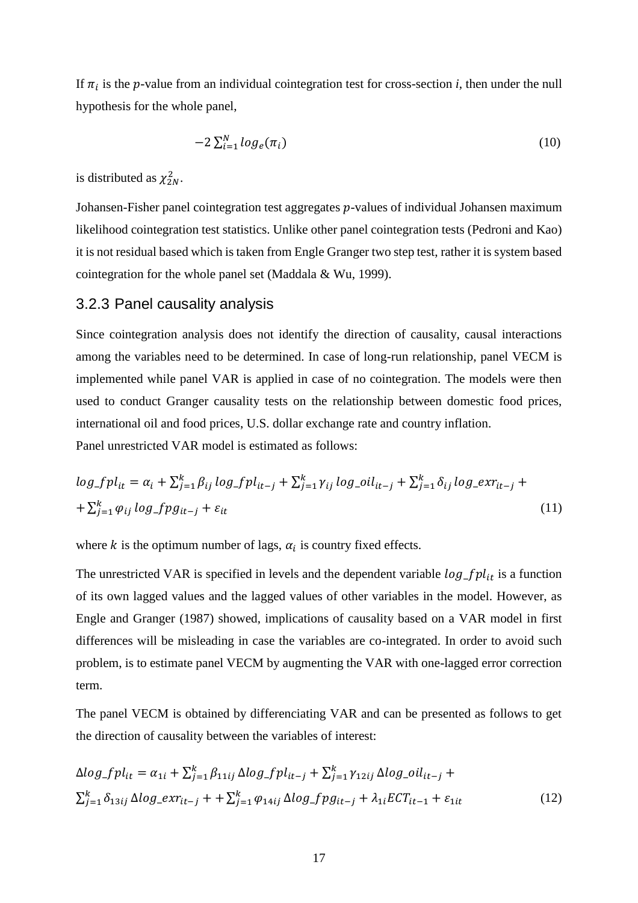If  $\pi_i$  is the p-value from an individual cointegration test for cross-section *i*, then under the null hypothesis for the whole panel,

$$
-2\sum_{i=1}^{N}log_e(\pi_i)
$$
\n(10)

is distributed as  $\chi^2_{2N}$ .

Johansen-Fisher panel cointegration test aggregates  $p$ -values of individual Johansen maximum likelihood cointegration test statistics. Unlike other panel cointegration tests (Pedroni and Kao) it is not residual based which is taken from Engle Granger two step test, rather it is system based cointegration for the whole panel set (Maddala & Wu, 1999).

### <span id="page-24-0"></span>3.2.3 Panel causality analysis

Since cointegration analysis does not identify the direction of causality, causal interactions among the variables need to be determined. In case of long-run relationship, panel VECM is implemented while panel VAR is applied in case of no cointegration. The models were then used to conduct Granger causality tests on the relationship between domestic food prices, international oil and food prices, U.S. dollar exchange rate and country inflation. Panel unrestricted VAR model is estimated as follows:

$$
log_f pl_{it} = \alpha_i + \sum_{j=1}^k \beta_{ij} log_f pl_{it-j} + \sum_{j=1}^k \gamma_{ij} log_c = \delta_{it-j} + \sum_{j=1}^k \delta_{ij} log_c = \alpha r_{it-j} + \sum_{j=1}^k \varphi_{ij} log_f pl_{it-j} + \varepsilon_{it}
$$
\n
$$
(11)
$$

where  $k$  is the optimum number of lags,  $\alpha_i$  is country fixed effects.

The unrestricted VAR is specified in levels and the dependent variable  $log_f pl_{it}$  is a function of its own lagged values and the lagged values of other variables in the model. However, as Engle and Granger (1987) showed, implications of causality based on a VAR model in first differences will be misleading in case the variables are co-integrated. In order to avoid such problem, is to estimate panel VECM by augmenting the VAR with one-lagged error correction term.

The panel VECM is obtained by differenciating VAR and can be presented as follows to get the direction of causality between the variables of interest:

$$
\Delta log_{\perp} pl_{it} = \alpha_{1i} + \sum_{j=1}^{k} \beta_{11ij} \Delta log_{\perp} fpl_{it-j} + \sum_{j=1}^{k} \gamma_{12ij} \Delta log_{\perp} oil_{it-j} + \sum_{j=1}^{k} \delta_{13ij} \Delta log_{\perp} exr_{it-j} + \sum_{j=1}^{k} \varphi_{14ij} \Delta log_{\perp} fpg_{it-j} + \lambda_{1i} ECT_{it-1} + \varepsilon_{1it}
$$
\n(12)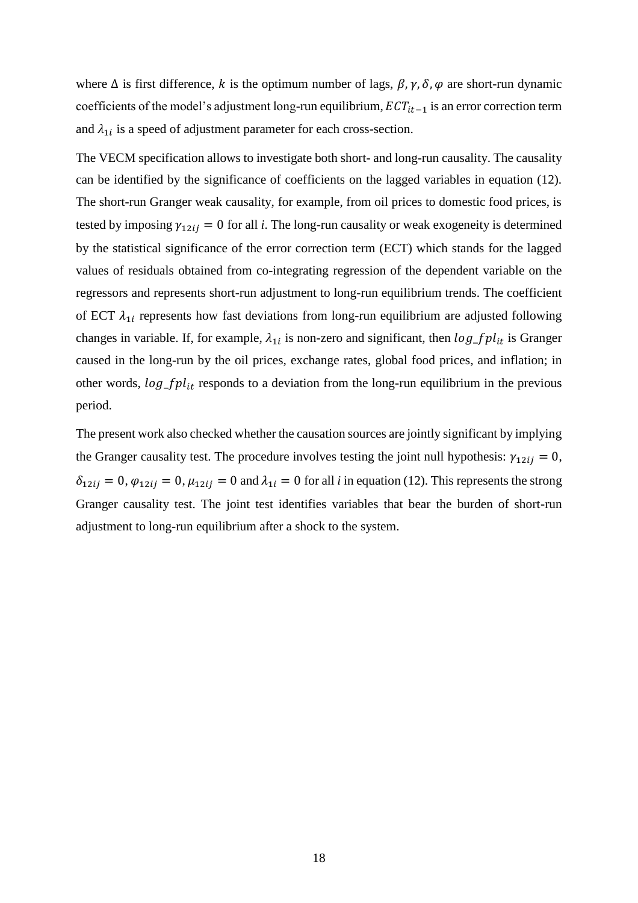where  $\Delta$  is first difference, k is the optimum number of lags,  $\beta$ ,  $\gamma$ ,  $\delta$ ,  $\varphi$  are short-run dynamic coefficients of the model's adjustment long-run equilibrium,  $ECT_{it-1}$  is an error correction term and  $\lambda_{1i}$  is a speed of adjustment parameter for each cross-section.

The VECM specification allows to investigate both short- and long-run causality. The causality can be identified by the significance of coefficients on the lagged variables in equation (12). The short-run Granger weak causality, for example, from oil prices to domestic food prices, is tested by imposing  $\gamma_{12ij} = 0$  for all *i*. The long-run causality or weak exogeneity is determined by the statistical significance of the error correction term (ECT) which stands for the lagged values of residuals obtained from co-integrating regression of the dependent variable on the regressors and represents short-run adjustment to long-run equilibrium trends. The coefficient of ECT  $\lambda_{1i}$  represents how fast deviations from long-run equilibrium are adjusted following changes in variable. If, for example,  $\lambda_{1i}$  is non-zero and significant, then  $log_f pl_{it}$  is Granger caused in the long-run by the oil prices, exchange rates, global food prices, and inflation; in other words,  $log_f pl_{it}$  responds to a deviation from the long-run equilibrium in the previous period.

The present work also checked whether the causation sources are jointly significant by implying the Granger causality test. The procedure involves testing the joint null hypothesis:  $\gamma_{12ij} = 0$ ,  $\delta_{12ij} = 0$ ,  $\varphi_{12ij} = 0$ ,  $\mu_{12ij} = 0$  and  $\lambda_{1i} = 0$  for all *i* in equation (12). This represents the strong Granger causality test. The joint test identifies variables that bear the burden of short-run adjustment to long-run equilibrium after a shock to the system.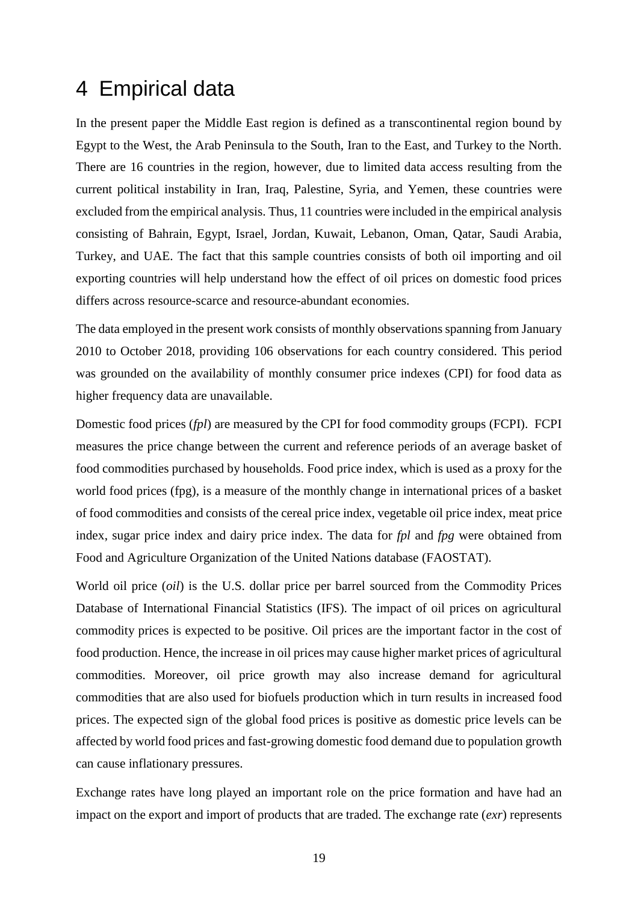## <span id="page-26-0"></span>4 Empirical data

In the present paper the Middle East region is defined as a transcontinental region bound by Egypt to the West, the Arab Peninsula to the South, Iran to the East, and Turkey to the North. There are 16 countries in the region, however, due to limited data access resulting from the current political instability in Iran, Iraq, Palestine, Syria, and Yemen, these countries were excluded from the empirical analysis. Thus, 11 countries were included in the empirical analysis consisting of Bahrain, Egypt, Israel, Jordan, Kuwait, Lebanon, Oman, Qatar, Saudi Arabia, Turkey, and UAE. The fact that this sample countries consists of both oil importing and oil exporting countries will help understand how the effect of oil prices on domestic food prices differs across resource-scarce and resource-abundant economies.

The data employed in the present work consists of monthly observations spanning from January 2010 to October 2018, providing 106 observations for each country considered. This period was grounded on the availability of monthly consumer price indexes (CPI) for food data as higher frequency data are unavailable.

Domestic food prices (*fpl*) are measured by the CPI for food commodity groups (FCPI). FCPI measures the price change between the current and reference periods of an average basket of food commodities purchased by households. Food price index, which is used as a proxy for the world food prices (fpg), is a measure of the monthly change in international prices of a basket of food commodities and consists of the cereal price index, vegetable oil price index, meat price index, sugar price index and dairy price index. The data for *fpl* and *fpg* were obtained from Food and Agriculture Organization of the United Nations database (FAOSTAT).

World oil price (*oil*) is the U.S. dollar price per barrel sourced from the Commodity Prices Database of International Financial Statistics (IFS). The impact of oil prices on agricultural commodity prices is expected to be positive. Oil prices are the important factor in the cost of food production. Hence, the increase in oil prices may cause higher market prices of agricultural commodities. Moreover, oil price growth may also increase demand for agricultural commodities that are also used for biofuels production which in turn results in increased food prices. The expected sign of the global food prices is positive as domestic price levels can be affected by world food prices and fast-growing domestic food demand due to population growth can cause inflationary pressures.

Exchange rates have long played an important role on the price formation and have had an impact on the export and import of products that are traded. The exchange rate (*exr*) represents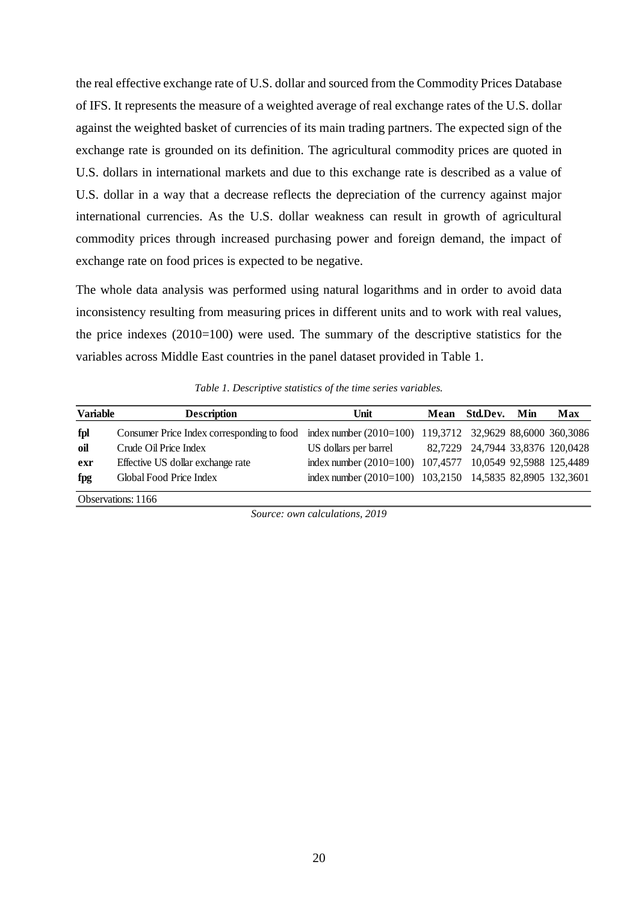the real effective exchange rate of U.S. dollar and sourced from the Commodity Prices Database of IFS. It represents the measure of a weighted average of real exchange rates of the U.S. dollar against the weighted basket of currencies of its main trading partners. The expected sign of the exchange rate is grounded on its definition. The agricultural commodity prices are quoted in U.S. dollars in international markets and due to this exchange rate is described as a value of U.S. dollar in a way that a decrease reflects the depreciation of the currency against major international currencies. As the U.S. dollar weakness can result in growth of agricultural commodity prices through increased purchasing power and foreign demand, the impact of exchange rate on food prices is expected to be negative.

The whole data analysis was performed using natural logarithms and in order to avoid data inconsistency resulting from measuring prices in different units and to work with real values, the price indexes (2010=100) were used. The summary of the descriptive statistics for the variables across Middle East countries in the panel dataset provided in Table 1.

*Table 1. Descriptive statistics of the time series variables.*

<span id="page-27-0"></span>

| <b>Variable</b> | <b>Description</b>                                                                                   | Unit                                                      | Mean Std.Dev. Min                | Max |
|-----------------|------------------------------------------------------------------------------------------------------|-----------------------------------------------------------|----------------------------------|-----|
| fpl             | Consumer Price Index corresponding to food index number (2010=100) 119,3712 32,9629 88,6000 360,3086 |                                                           |                                  |     |
| oil             | Crude Oil Price Index                                                                                | US dollars per barrel                                     | 82,7229 24,7944 33,8376 120,0428 |     |
| exr             | Effective US dollar exchange rate                                                                    | index number (2010=100) 107,4577 10,0549 92,5988 125,4489 |                                  |     |
| fpg             | Global Food Price Index                                                                              | index number (2010=100) 103,2150 14,5835 82,8905 132,3601 |                                  |     |
|                 | $\bigcap_{i=1}^{n}$ $\bigcup_{i=1}^{n}$ $\bigcap_{i=1}^{n}$ $\bigcap_{i=1}^{n}$                      |                                                           |                                  |     |

Observations: 1166

*Source: own calculations, 2019*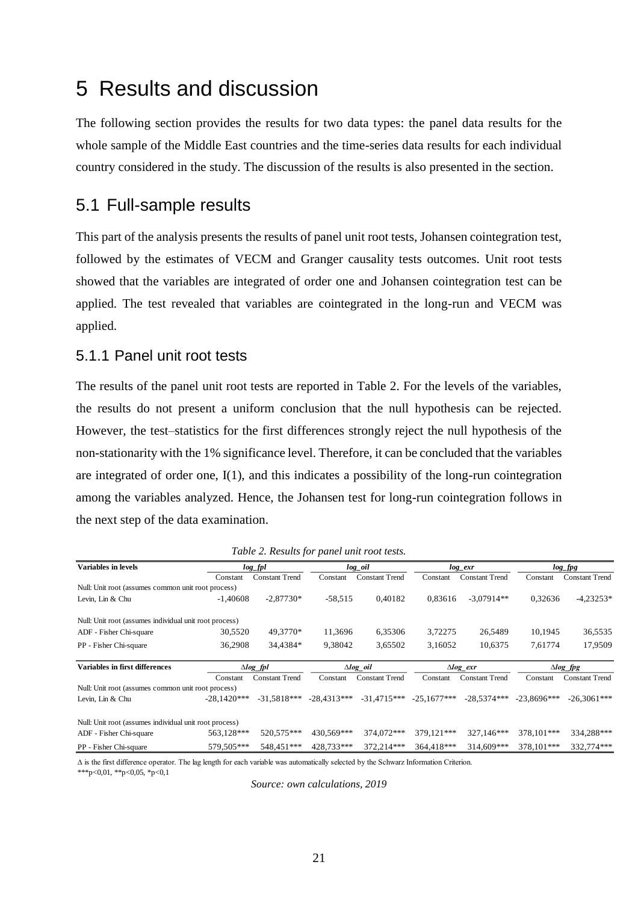## <span id="page-28-0"></span>5 Results and discussion

The following section provides the results for two data types: the panel data results for the whole sample of the Middle East countries and the time-series data results for each individual country considered in the study. The discussion of the results is also presented in the section.

## <span id="page-28-1"></span>5.1 Full-sample results

This part of the analysis presents the results of panel unit root tests, Johansen cointegration test, followed by the estimates of VECM and Granger causality tests outcomes. Unit root tests showed that the variables are integrated of order one and Johansen cointegration test can be applied. The test revealed that variables are cointegrated in the long-run and VECM was applied.

### <span id="page-28-2"></span>5.1.1 Panel unit root tests

The results of the panel unit root tests are reported in Table 2. For the levels of the variables, the results do not present a uniform conclusion that the null hypothesis can be rejected. However, the test–statistics for the first differences strongly reject the null hypothesis of the non-stationarity with the 1% significance level. Therefore, it can be concluded that the variables are integrated of order one, I(1), and this indicates a possibility of the long-run cointegration among the variables analyzed. Hence, the Johansen test for long-run cointegration follows in the next step of the data examination.

<span id="page-28-3"></span>

| Variables in levels                                    |               | $log_f pl$            |               | log_oil               |               | $log\_exr$            |               | $log\_fig$            |  |
|--------------------------------------------------------|---------------|-----------------------|---------------|-----------------------|---------------|-----------------------|---------------|-----------------------|--|
|                                                        | Constant      | <b>Constant Trend</b> | Constant      | <b>Constant Trend</b> | Constant      | <b>Constant Trend</b> | Constant      | <b>Constant Trend</b> |  |
| Null: Unit root (assumes common unit root process)     |               |                       |               |                       |               |                       |               |                       |  |
| Levin, Lin & Chu                                       | $-1.40608$    | $-2.87730*$           | $-58,515$     | 0.40182               | 0.83616       | $-3,07914**$          | 0.32636       | $-4,23253*$           |  |
| Null: Unit root (assumes individual unit root process) |               |                       |               |                       |               |                       |               |                       |  |
| ADF - Fisher Chi-square                                | 30,5520       | 49.3770*              | 11,3696       | 6,35306               | 3,72275       | 26,5489               | 10,1945       | 36,5535               |  |
| PP - Fisher Chi-square                                 | 36,2908       | 34,4384*              | 9.38042       | 3,65502               | 3.16052       | 10.6375               | 7.61774       | 17,9509               |  |
| Variables in first differences<br>$\triangle log$ fpl  |               | $\triangle log$ oil   |               | $\triangle log$ exr   |               | $\triangle log$ fpg   |               |                       |  |
|                                                        | Constant      | <b>Constant Trend</b> | Constant      | <b>Constant Trend</b> | Constant      | <b>Constant Trend</b> | Constant      | <b>Constant Trend</b> |  |
| Null: Unit root (assumes common unit root process)     |               |                       |               |                       |               |                       |               |                       |  |
| Levin, Lin & Chu                                       | $-28.1420***$ | $-31.5818***$         | $-28.4313***$ | $-31.4715***$         | $-25.1677***$ | $-28.5374***$         | $-23.8696***$ | $-26,3061***$         |  |
| Null: Unit root (assumes individual unit root process) |               |                       |               |                       |               |                       |               |                       |  |
| ADF - Fisher Chi-square                                | 563,128***    | 520.575***            | 430.569***    | 374,072***            | 379.121***    | 327.146***            | 378.101***    | 334,288***            |  |
| PP - Fisher Chi-square                                 | 579.505***    | 548.451***            | 428,733***    | 372.214***            | 364.418***    | 314.609***            | 378.101***    | 332.774***            |  |

*Table 2. Results for panel unit root tests.*

∆ is the first difference operator. The lag length for each variable was automatically selected by the Schwarz Information Criterion.

\*\*\*p<0,01, \*\*p<0,05, \*p<0,1

*Source: own calculations, 2019*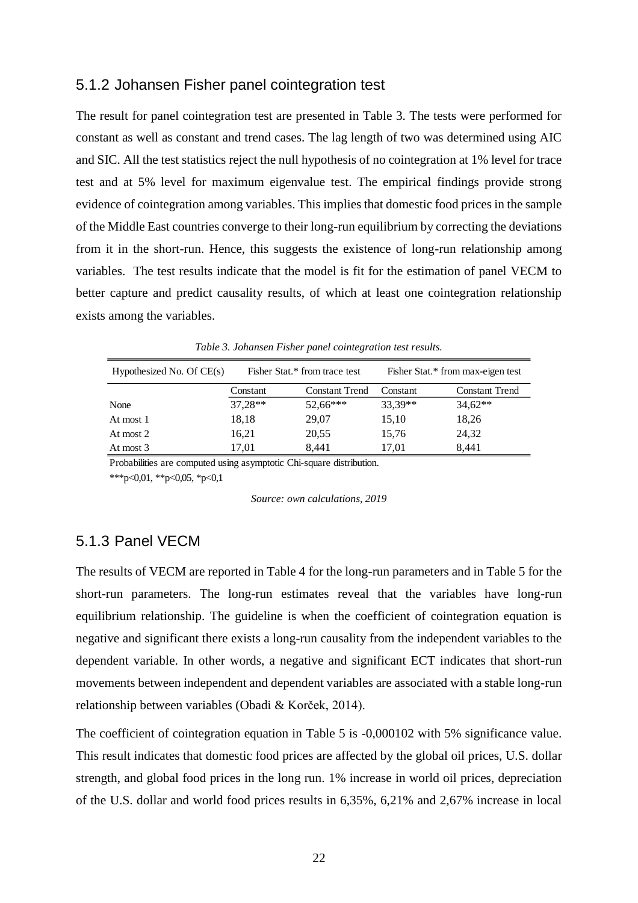### <span id="page-29-0"></span>5.1.2 Johansen Fisher panel cointegration test

The result for panel cointegration test are presented in Table 3. The tests were performed for constant as well as constant and trend cases. The lag length of two was determined using AIC and SIC. All the test statistics reject the null hypothesis of no cointegration at 1% level for trace test and at 5% level for maximum eigenvalue test. The empirical findings provide strong evidence of cointegration among variables. This implies that domestic food prices in the sample of the Middle East countries converge to their long-run equilibrium by correcting the deviations from it in the short-run. Hence, this suggests the existence of long-run relationship among variables. The test results indicate that the model is fit for the estimation of panel VECM to better capture and predict causality results, of which at least one cointegration relationship exists among the variables.

<span id="page-29-2"></span>

| Hypothesized No. Of $CE(s)$ |           | Fisher Stat.* from trace test |           | Fisher Stat.* from max-eigen test |
|-----------------------------|-----------|-------------------------------|-----------|-----------------------------------|
|                             | Constant  | <b>Constant Trend</b>         | Constant  | <b>Constant Trend</b>             |
| None                        | $37,28**$ | $52,66***$                    | $33,39**$ | $34.62**$                         |
| At most 1                   | 18,18     | 29,07                         | 15,10     | 18,26                             |
| At most 2                   | 16,21     | 20,55                         | 15,76     | 24,32                             |
| At most 3                   | 17.01     | 8.441                         | 17.01     | 8.441                             |

*Table 3. Johansen Fisher panel cointegration test results.*

Probabilities are computed using asymptotic Chi-square distribution.

\*\*\*p<0,01, \*\*p<0,05, \*p<0,1

*Source: own calculations, 2019*

### <span id="page-29-1"></span>5.1.3 Panel VECM

The results of VECM are reported in Table 4 for the long-run parameters and in Table 5 for the short-run parameters. The long-run estimates reveal that the variables have long-run equilibrium relationship. The guideline is when the coefficient of cointegration equation is negative and significant there exists a long-run causality from the independent variables to the dependent variable. In other words, a negative and significant ECT indicates that short-run movements between independent and dependent variables are associated with a stable long-run relationship between variables (Obadi & Korček, 2014).

The coefficient of cointegration equation in Table 5 is -0,000102 with 5% significance value. This result indicates that domestic food prices are affected by the global oil prices, U.S. dollar strength, and global food prices in the long run. 1% increase in world oil prices, depreciation of the U.S. dollar and world food prices results in 6,35%, 6,21% and 2,67% increase in local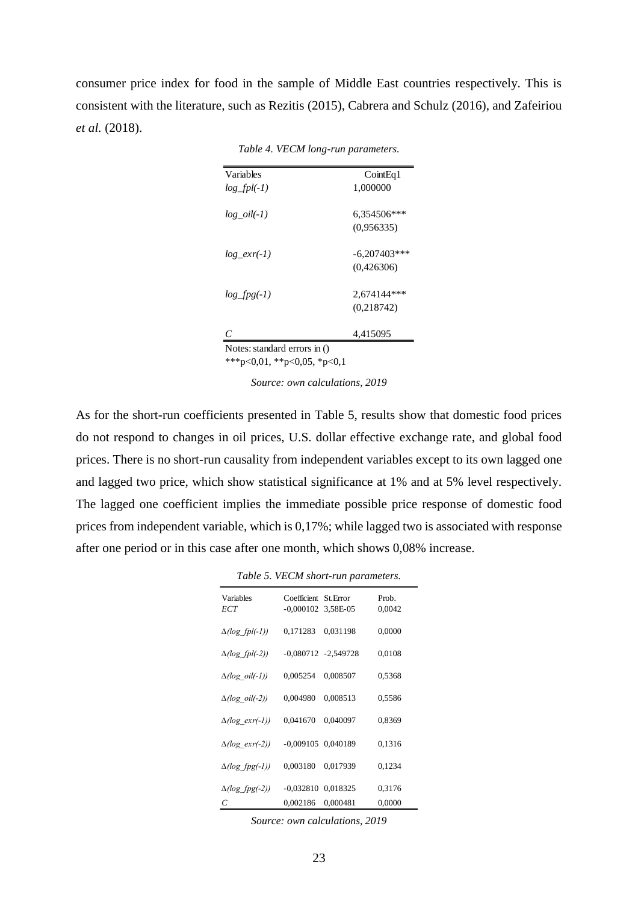<span id="page-30-0"></span>consumer price index for food in the sample of Middle East countries respectively. This is consistent with the literature, such as Rezitis (2015), Cabrera and Schulz (2016), and Zafeiriou *et al.* (2018).

| <b>Variables</b> | CointEq1       |
|------------------|----------------|
| $log_fpl(-1)$    | 1,000000       |
| $log$ $oil(-1)$  | 6,354506***    |
|                  | (0.956335)     |
| $log\_exr(-1)$   | $-6.207403***$ |
|                  | (0,426306)     |
| $log_f(pg(-1))$  | $2.674144***$  |
|                  | (0,218742)     |
| С                | 4,415095       |

*Table 4. VECM long-run parameters.*

\*\*\*p<0,01, \*\*p<0,05, \*p<0,1

*Source: own calculations, 2019*

As for the short-run coefficients presented in Table 5, results show that domestic food prices do not respond to changes in oil prices, U.S. dollar effective exchange rate, and global food prices. There is no short-run causality from independent variables except to its own lagged one and lagged two price, which show statistical significance at 1% and at 5% level respectively. The lagged one coefficient implies the immediate possible price response of domestic food prices from independent variable, which is 0,17%; while lagged two is associated with response after one period or in this case after one month, which shows 0,08% increase.

*Table 5. VECM short-run parameters.*

<span id="page-30-1"></span>

| Variables<br>ECT         | Coefficient St. Error<br>$-0,000102$ 3,58E-05 |                         | Prob.<br>0,0042 |
|--------------------------|-----------------------------------------------|-------------------------|-----------------|
| $\Delta(log~fbl(-1))$    | 0,171283                                      | 0,031198                | 0,0000          |
| $\Delta(log~fbl(-2))$    |                                               | $-0,080712$ $-2,549728$ | 0,0108          |
| $\Delta(log \, oil(-1))$ | 0,005254                                      | 0.008507                | 0,5368          |
| $\Delta(log$ oil(-2))    | 0,004980                                      | 0,008513                | 0,5586          |
| $\Delta(log~exr(-1))$    | 0,041670                                      | 0,040097                | 0,8369          |
| $\Delta(log~exr(-2))$    | $-0,009105$ 0,040189                          |                         | 0,1316          |
| $\Delta(log fpg(-1))$    | 0,003180                                      | 0.017939                | 0,1234          |
| $\Delta(log_fpg(-2))$    | $-0.032810$ $0.018325$                        |                         | 0,3176          |
| C                        | 0,002186                                      | 0,000481                | 0,0000          |

*Source: own calculations, 2019*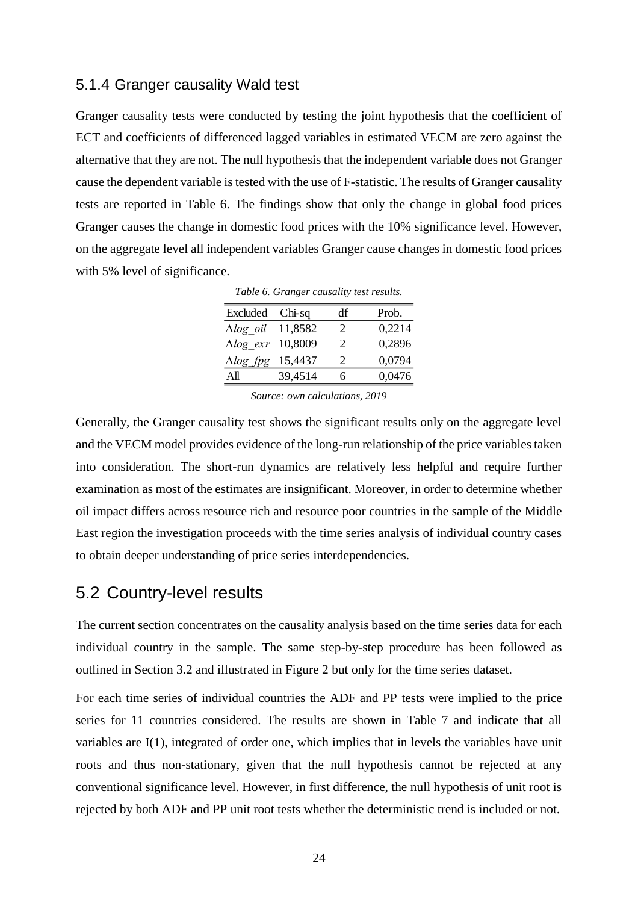### <span id="page-31-0"></span>5.1.4 Granger causality Wald test

Granger causality tests were conducted by testing the joint hypothesis that the coefficient of ECT and coefficients of differenced lagged variables in estimated VECM are zero against the alternative that they are not. The null hypothesis that the independent variable does not Granger cause the dependent variable is tested with the use of F-statistic. The results of Granger causality tests are reported in Table 6. The findings show that only the change in global food prices Granger causes the change in domestic food prices with the 10% significance level. However, on the aggregate level all independent variables Granger cause changes in domestic food prices with 5% level of significance.

| Excluded Chi-sq              |         | df | Prob.  |
|------------------------------|---------|----|--------|
| $\Delta log$ oil 11,8582     |         | 2  | 0,2214 |
| $\Delta log$ exr 10,8009     |         | 2  | 0,2896 |
| $\triangle log\_fpg$ 15,4437 |         | 2  | 0,0794 |
| All                          | 39,4514 | 6  | 0,0476 |

*Table 6. Granger causality test results.*

*Source: own calculations, 2019*

<span id="page-31-2"></span>Generally, the Granger causality test shows the significant results only on the aggregate level and the VECM model provides evidence of the long-run relationship of the price variables taken into consideration. The short-run dynamics are relatively less helpful and require further examination as most of the estimates are insignificant. Moreover, in order to determine whether oil impact differs across resource rich and resource poor countries in the sample of the Middle East region the investigation proceeds with the time series analysis of individual country cases to obtain deeper understanding of price series interdependencies.

### <span id="page-31-1"></span>5.2 Country-level results

The current section concentrates on the causality analysis based on the time series data for each individual country in the sample. The same step-by-step procedure has been followed as outlined in Section 3.2 and illustrated in Figure 2 but only for the time series dataset.

For each time series of individual countries the ADF and PP tests were implied to the price series for 11 countries considered. The results are shown in Table 7 and indicate that all variables are I(1), integrated of order one, which implies that in levels the variables have unit roots and thus non-stationary, given that the null hypothesis cannot be rejected at any conventional significance level. However, in first difference, the null hypothesis of unit root is rejected by both ADF and PP unit root tests whether the deterministic trend is included or not.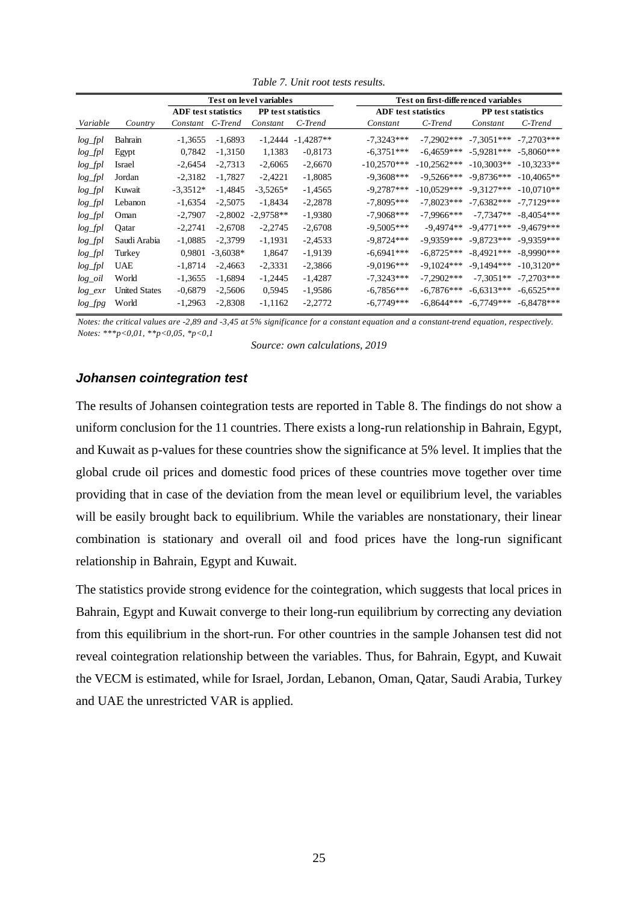<span id="page-32-0"></span>

|            |                      | <b>Test on level variables</b> |            |                           | Test on first-differenced variables |                            |               |                    |               |
|------------|----------------------|--------------------------------|------------|---------------------------|-------------------------------------|----------------------------|---------------|--------------------|---------------|
|            |                      | <b>ADF</b> test statistics     |            | <b>PP</b> test statistics |                                     | <b>ADF</b> test statistics |               | PP test statistics |               |
| Variable   | Country              | Constant                       | C-Trend    | Constant                  | C-Trend                             | Constant                   | C-Trend       | Constant           | C-Trend       |
| log_fpl    | Bahrain              | $-1,3655$                      | $-1,6893$  |                           | $-1,2444$ $-1,4287**$               | $-7.3243***$               | $-7,2902***$  | $-7.3051***$       | $-7,2703***$  |
| $log_fpl$  | Egypt                | 0,7842                         | $-1,3150$  | 1,1383                    | $-0,8173$                           | $-6.3751***$               | $-6.4659***$  | $-5.9281***$       | $-5.8060***$  |
| $log_fpl$  | Israel               | $-2,6454$                      | $-2.7313$  | $-2,6065$                 | $-2,6670$                           | $-10,2570***$              | $-10.2562***$ | $-10.3003**$       | $-10.3233**$  |
| $log_fpl$  | Jordan               | $-2,3182$                      | $-1,7827$  | $-2,4221$                 | $-1,8085$                           | $-9,3608***$               | $-9.5266***$  | $-9.8736***$       | $-10.4065**$  |
| $log_fpl$  | Kuwait               | $-3.3512*$                     | $-1,4845$  | $-3,5265*$                | $-1,4565$                           | $-9,2787***$               | $-10.0529***$ | $-9.3127***$       | $-10.0710**$  |
| $log_fpl$  | Lebanon              | $-1,6354$                      | $-2,5075$  | $-1,8434$                 | $-2,2878$                           | $-7,8095***$               | $-7.8023***$  | $-7,6382***$       | $-7.7129***$  |
| $log_fpl$  | Oman                 | $-2,7907$                      | $-2,8002$  | $-2,9758**$               | $-1,9380$                           | $-7,9068***$               | $-7,9966***$  | $-7,7347**$        | $-8.4054***$  |
| $log_fpl$  | Oatar                | $-2,2741$                      | $-2,6708$  | $-2,2745$                 | $-2,6708$                           | $-9,5005***$               | $-9.4974**$   | $-9.4771***$       | $-9.4679***$  |
| $log_fpl$  | Saudi Arabia         | $-1,0885$                      | $-2,3799$  | $-1,1931$                 | $-2,4533$                           | $-9,8724***$               | $-9.9359***$  | $-9.8723***$       | $-9.9359***$  |
| log_fpl    | Turkey               | 0,9801                         | $-3.6038*$ | 1,8647                    | $-1,9139$                           | $-6.6941***$               | $-6.8725***$  | $-8.4921***$       | $-8.9990$ *** |
| log_fpl    | <b>UAE</b>           | $-1,8714$                      | $-2,4663$  | $-2,3331$                 | $-2,3866$                           | $-9.0196***$               | $-9.1024***$  | $-9.1494***$       | $-10.3120**$  |
| $log\_oil$ | World                | $-1,3655$                      | $-1,6894$  | $-1,2445$                 | $-1,4287$                           | $-7,3243***$               | $-7.2902***$  | $-7.3051**$        | $-7.2703***$  |
| $log\_exr$ | <b>United States</b> | $-0.6879$                      | $-2,5606$  | 0,5945                    | -1,9586                             | $-6,7856***$               | $-6.7876***$  | $-6.6313***$       | $-6,6525***$  |
| $log\_fpg$ | World                | $-1,2963$                      | $-2,8308$  | $-1,1162$                 | $-2,2772$                           | $-6.7749***$               | $-6,8644***$  | $-6,7749***$       | $-6,8478***$  |

*Table 7. Unit root tests results.*

*Notes: the critical values are -2,89 and -3,45 at 5% significance for a constant equation and a constant-trend equation, respectively. Notes: \*\*\*p<0,01, \*\*p<0,05, \*p<0,1*

*Source: own calculations, 2019*

#### *Johansen cointegration test*

The results of Johansen cointegration tests are reported in Table 8. The findings do not show a uniform conclusion for the 11 countries. There exists a long-run relationship in Bahrain, Egypt, and Kuwait as p-values for these countries show the significance at 5% level. It implies that the global crude oil prices and domestic food prices of these countries move together over time providing that in case of the deviation from the mean level or equilibrium level, the variables will be easily brought back to equilibrium. While the variables are nonstationary, their linear combination is stationary and overall oil and food prices have the long-run significant relationship in Bahrain, Egypt and Kuwait.

The statistics provide strong evidence for the cointegration, which suggests that local prices in Bahrain, Egypt and Kuwait converge to their long-run equilibrium by correcting any deviation from this equilibrium in the short-run. For other countries in the sample Johansen test did not reveal cointegration relationship between the variables. Thus, for Bahrain, Egypt, and Kuwait the VECM is estimated, while for Israel, Jordan, Lebanon, Oman, Qatar, Saudi Arabia, Turkey and UAE the unrestricted VAR is applied.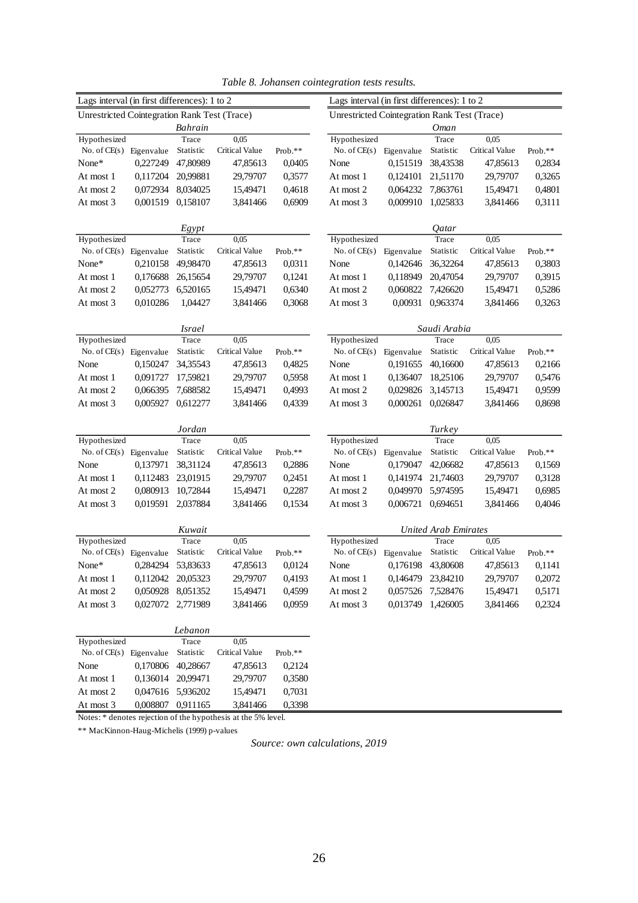<span id="page-33-0"></span>

| Lags interval (in first differences): 1 to 2 |                                                               |                   |                |         | Lags interval (in first differences): 1 to 2 |                   |                             |                       |         |  |
|----------------------------------------------|---------------------------------------------------------------|-------------------|----------------|---------|----------------------------------------------|-------------------|-----------------------------|-----------------------|---------|--|
| Unrestricted Cointegration Rank Test (Trace) |                                                               |                   |                |         | Unrestricted Cointegration Rank Test (Trace) |                   |                             |                       |         |  |
|                                              |                                                               | Bahrain           |                |         |                                              |                   | <b>Oman</b>                 |                       |         |  |
| Hypothesized                                 |                                                               | Trace             | 0,05           |         | Hypothesized                                 |                   | Trace                       | 0,05                  |         |  |
| No. of $CE(s)$                               | Eigenvalue                                                    | Statistic         | Critical Value | Prob.** | No. of $CE(s)$                               | Eigenvalue        | Statistic                   | Critical Value        | Prob.** |  |
| None*                                        | 0,227249                                                      | 47,80989          | 47,85613       | 0,0405  | None                                         | 0,151519          | 38,43538                    | 47,85613              | 0,2834  |  |
| At most 1                                    | 0,117204                                                      | 20,99881          | 29,79707       | 0,3577  | At most 1                                    | 0,124101          | 21,51170                    | 29,79707              | 0,3265  |  |
| At most 2                                    | 0,072934                                                      | 8,034025          | 15,49471       | 0,4618  | At most 2                                    | 0,064232          | 7,863761                    | 15,49471              | 0,4801  |  |
| At most 3                                    | 0,001519                                                      | 0,158107          | 3,841466       | 0,6909  | At most 3                                    | 0,009910          | 1,025833                    | 3,841466              | 0,3111  |  |
|                                              |                                                               |                   |                |         |                                              |                   |                             |                       |         |  |
|                                              |                                                               | Egypt             |                |         |                                              |                   | Qatar                       |                       |         |  |
| Hypothesized                                 |                                                               | Trace             | 0,05           |         | Hypothesized                                 |                   | Trace                       | 0,05                  |         |  |
| No. of $CE(s)$                               | Eigenvalue                                                    | Statistic         | Critical Value | Prob.** | No. of $CE(s)$                               | Eigenvalue        | Statistic                   | Critical Value        | Prob.** |  |
| None*                                        | 0,210158                                                      | 49,98470          | 47,85613       | 0,0311  | None                                         | 0,142646          | 36,32264                    | 47,85613              | 0,3803  |  |
| At most 1                                    | 0,176688                                                      | 26,15654          | 29,79707       | 0,1241  | At most 1                                    | 0,118949          | 20,47054                    | 29,79707              | 0,3915  |  |
| At most 2                                    | 0,052773                                                      | 6,520165          | 15,49471       | 0,6340  | At most 2                                    | 0,060822          | 7,426620                    | 15,49471              | 0,5286  |  |
| At most 3                                    | 0,010286                                                      | 1,04427           | 3,841466       | 0,3068  | At most 3                                    | 0,00931           | 0,963374                    | 3,841466              | 0,3263  |  |
|                                              |                                                               |                   |                |         |                                              |                   |                             |                       |         |  |
|                                              |                                                               | <i>Israel</i>     |                |         |                                              |                   | Saudi Arabia                |                       |         |  |
| Hypothesized                                 |                                                               | Trace             | 0,05           |         | Hypothesized                                 |                   | Trace                       | 0,05                  |         |  |
| No. of $CE(s)$                               | Eigenvalue                                                    | Statistic         | Critical Value | Prob.** | No. of $CE(s)$                               | Eigenvalue        | Statistic                   | Critical Value        | Prob.** |  |
| None                                         | 0,150247                                                      | 34,35543          | 47,85613       | 0,4825  | None                                         | 0,191655          | 40,16600                    | 47,85613              | 0,2166  |  |
| At most 1                                    | 0,091727                                                      | 17,59821          | 29,79707       | 0,5958  | At most 1                                    | 0,136407          | 18,25106                    | 29,79707              | 0,5476  |  |
| At most 2                                    | 0,066395                                                      | 7,688582          | 15,49471       | 0,4993  | At most 2                                    | 0,029826          | 3,145713                    | 15,49471              | 0,9599  |  |
| At most 3                                    | 0,005927                                                      | 0,612277          | 3,841466       | 0,4339  | At most 3                                    | 0,000261          | 0,026847                    | 3,841466              | 0,8698  |  |
|                                              |                                                               |                   |                |         |                                              |                   |                             |                       |         |  |
| Hypothesized                                 |                                                               | Jordan<br>Trace   | 0,05           |         | Hypothesized                                 |                   | Turkey<br>Trace             | 0,05                  |         |  |
| No. of $CE(s)$                               | Eigenvalue                                                    | Statistic         | Critical Value | Prob.** | No. of $CE(s)$                               | Eigenvalue        | Statistic                   | Critical Value        | Prob.** |  |
| None                                         | 0,137971                                                      | 38,31124          | 47,85613       | 0,2886  | None                                         | 0,179047          | 42,06682                    | 47,85613              | 0,1569  |  |
| At most 1                                    | 0,112483                                                      | 23,01915          | 29,79707       | 0,2451  | At most 1                                    | 0,141974          | 21,74603                    | 29,79707              | 0,3128  |  |
| At most 2                                    | 0,080913                                                      | 10,72844          | 15,49471       | 0,2287  | At most 2                                    | 0,049970          | 5,974595                    | 15,49471              | 0,6985  |  |
| At most 3                                    | 0,019591                                                      | 2,037884          | 3,841466       | 0,1534  | At most 3                                    | 0,006721          | 0,694651                    | 3,841466              | 0,4046  |  |
|                                              |                                                               |                   |                |         |                                              |                   |                             |                       |         |  |
|                                              |                                                               | Kuwait            |                |         |                                              |                   | <b>United Arab Emirates</b> |                       |         |  |
| Hypothesized                                 |                                                               | Trace             | 0,05           |         | Hypothesized                                 |                   | Trace                       | 0,05                  |         |  |
| No. of $CE(s)$                               | Eigenvalue                                                    | Statistic         | Critical Value | Prob.** | No. of $CE(s)$                               | Eigenvalue        | Statistic                   | <b>Critical Value</b> | Prob.** |  |
| None*                                        | 0.284294                                                      | 53,83633          | 47,85613       | 0,0124  | None                                         | 0,176198          | 43,80608                    | 47,85613              | 0,1141  |  |
| At most 1                                    | 0,112042                                                      | 20,05323          | 29,79707       | 0,4193  | At most 1                                    | 0,146479          | 23,84210                    | 29,79707              | 0,2072  |  |
| At most 2                                    | 0,050928                                                      | 8,051352          | 15,49471       | 0,4599  | At most 2                                    | 0,057526          | 7,528476                    | 15,49471              | 0,5171  |  |
| At most 3                                    |                                                               | 0,027072 2,771989 | 3,841466       | 0,0959  | At most 3                                    | 0,013749 1,426005 |                             | 3,841466              | 0,2324  |  |
|                                              |                                                               |                   |                |         |                                              |                   |                             |                       |         |  |
|                                              |                                                               | Lebanon           |                |         |                                              |                   |                             |                       |         |  |
| Hypothesized                                 |                                                               | Trace             | 0,05           |         |                                              |                   |                             |                       |         |  |
| No. of $CE(s)$                               | Eigenvalue                                                    | Statistic         | Critical Value | Prob.** |                                              |                   |                             |                       |         |  |
| None                                         | 0,170806                                                      | 40,28667          | 47,85613       | 0,2124  |                                              |                   |                             |                       |         |  |
| At most 1                                    | 0,136014                                                      | 20,99471          | 29,79707       | 0,3580  |                                              |                   |                             |                       |         |  |
| At most 2                                    |                                                               | 0,047616 5,936202 | 15,49471       | 0,7031  |                                              |                   |                             |                       |         |  |
| At most 3                                    | 0,008807                                                      | 0,911165          | 3,841466       | 0,3398  |                                              |                   |                             |                       |         |  |
|                                              | Notes: * denotes rejection of the hypothesis at the 5% level. |                   |                |         |                                              |                   |                             |                       |         |  |

*Table 8. Johansen cointegration tests results.*

\*\* MacKinnon-Haug-Michelis (1999) p-values

*Source: own calculations, 2019*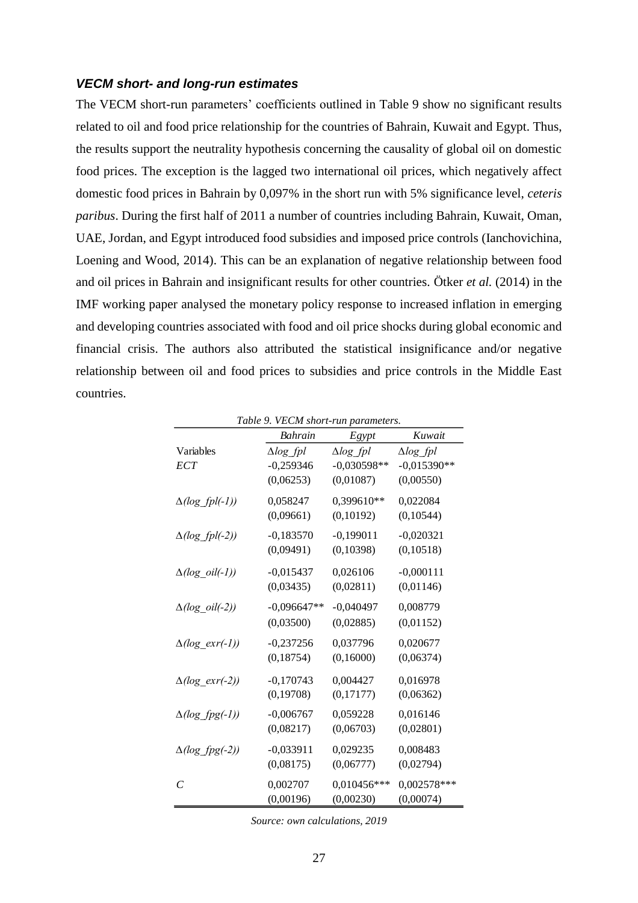#### *VECM short- and long-run estimates*

The VECM short-run parameters' coefficients outlined in Table 9 show no significant results related to oil and food price relationship for the countries of Bahrain, Kuwait and Egypt. Thus, the results support the neutrality hypothesis concerning the causality of global oil on domestic food prices. The exception is the lagged two international oil prices, which negatively affect domestic food prices in Bahrain by 0,097% in the short run with 5% significance level, *ceteris paribus*. During the first half of 2011 a number of countries including Bahrain, Kuwait, Oman, UAE, Jordan, and Egypt introduced food subsidies and imposed price controls (Ianchovichina, Loening and Wood, 2014). This can be an explanation of negative relationship between food and oil prices in Bahrain and insignificant results for other countries. Ötker *et al.* (2014) in the IMF working paper analysed the monetary policy response to increased inflation in emerging and developing countries associated with food and oil price shocks during global economic and financial crisis. The authors also attributed the statistical insignificance and/or negative relationship between oil and food prices to subsidies and price controls in the Middle East countries.

<span id="page-34-0"></span>

|                        | Bahrain          | Egypt               | Kuwait           |
|------------------------|------------------|---------------------|------------------|
| Variables              | $\Delta log$ fpl | $\triangle log$ fpl | $\Delta log$ fpl |
| <b>ECT</b>             | $-0,259346$      | $-0,030598**$       | $-0,015390**$    |
|                        | (0,06253)        | (0,01087)           | (0,00550)        |
| $\Delta(log_fpl(-1))$  | 0,058247         | 0,399610**          | 0,022084         |
|                        | (0,09661)        | (0,10192)           | (0,10544)        |
| $\Delta(log_fpl(-2))$  | $-0,183570$      | $-0,199011$         | $-0,020321$      |
|                        | (0,09491)        | (0,10398)           | (0, 10518)       |
| $\Delta(log\_oil(-1))$ | $-0,015437$      | 0,026106            | $-0,000111$      |
|                        | (0,03435)        | (0,02811)           | (0,01146)        |
| $\Delta(log\_oil(-2))$ | $-0,096647**$    | $-0,040497$         | 0,008779         |
|                        | (0,03500)        | (0,02885)           | (0,01152)        |
| $\Delta(log\_exr(-1))$ | $-0,237256$      | 0,037796            | 0,020677         |
|                        | (0, 18754)       | (0,16000)           | (0,06374)        |
| $\Delta(log\_exr(-2))$ | $-0,170743$      | 0,004427            | 0,016978         |
|                        | (0, 19708)       | (0,17177)           | (0,06362)        |
| $\Delta(log\_fpg(-1))$ | $-0,006767$      | 0,059228            | 0,016146         |
|                        | (0,08217)        | (0,06703)           | (0,02801)        |
| $\Delta(log_fpg(-2))$  | $-0,033911$      | 0,029235            | 0,008483         |
|                        | (0,08175)        | (0,06777)           | (0,02794)        |
| $\mathcal{C}_{0}$      | 0,002707         | 0,010456***         | 0,002578***      |
|                        | (0,00196)        | (0,00230)           | (0,00074)        |

*Table 9. VECM short-run parameters.*

*Source: own calculations, 2019*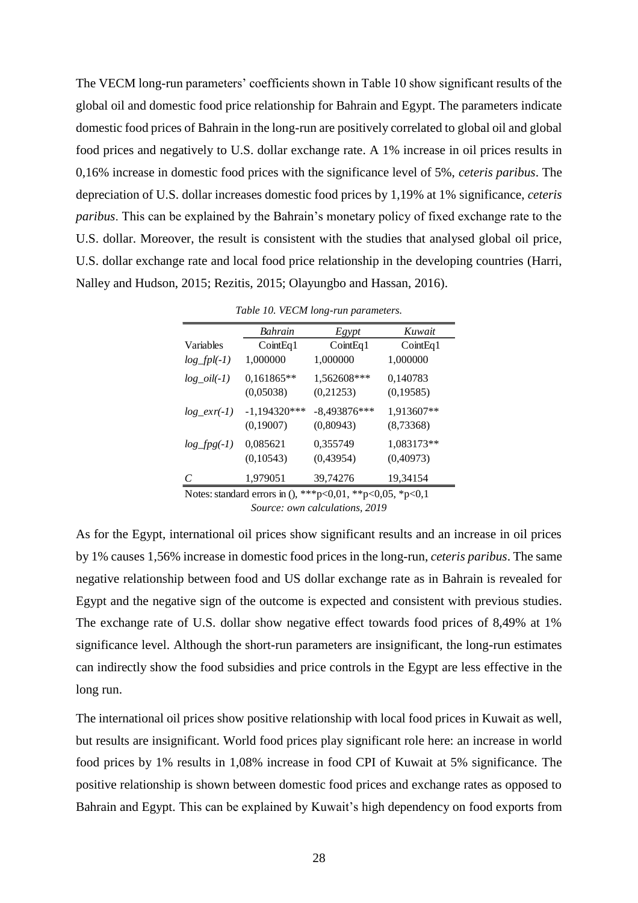The VECM long-run parameters' coefficients shown in Table 10 show significant results of the global oil and domestic food price relationship for Bahrain and Egypt. The parameters indicate domestic food prices of Bahrain in the long-run are positively correlated to global oil and global food prices and negatively to U.S. dollar exchange rate. A 1% increase in oil prices results in 0,16% increase in domestic food prices with the significance level of 5%, *ceteris paribus*. The depreciation of U.S. dollar increases domestic food prices by 1,19% at 1% significance, *ceteris paribus*. This can be explained by the Bahrain's monetary policy of fixed exchange rate to the U.S. dollar. Moreover, the result is consistent with the studies that analysed global oil price, U.S. dollar exchange rate and local food price relationship in the developing countries (Harri, Nalley and Hudson, 2015; Rezitis, 2015; Olayungbo and Hassan, 2016).

<span id="page-35-0"></span>

|                | Bahrain        | Egypt          | Kuwait     |
|----------------|----------------|----------------|------------|
| Variables      | CointEq1       | CointEq1       | CointEq1   |
| $log_fpl(-1)$  | 1,000000       | 1,000000       | 1,000000   |
| $log\_oil(-1)$ | 0,161865**     | 1,562608***    | 0,140783   |
|                | (0,05038)      | (0,21253)      | (0, 19585) |
| $log\_exp(-1)$ | $-1,194320***$ | $-8,493876***$ | 1,913607** |
|                | (0,19007)      | (0,80943)      | (8,73368)  |
| $log\_fpg(-1)$ | 0,085621       | 0,355749       | 1,083173** |
|                | (0,10543)      | (0,43954)      | (0,40973)  |
| C              | 1,979051       | 39,74276       | 19,34154   |

*Table 10. VECM long-run parameters.*

*Source: own calculations, 2019* Notes: standard errors in (), \*\*\*p<0,01, \*\*p<0,05, \*p<0,1

As for the Egypt, international oil prices show significant results and an increase in oil prices by 1% causes 1,56% increase in domestic food prices in the long-run, *ceteris paribus*. The same negative relationship between food and US dollar exchange rate as in Bahrain is revealed for Egypt and the negative sign of the outcome is expected and consistent with previous studies. The exchange rate of U.S. dollar show negative effect towards food prices of 8,49% at 1% significance level. Although the short-run parameters are insignificant, the long-run estimates can indirectly show the food subsidies and price controls in the Egypt are less effective in the long run.

The international oil prices show positive relationship with local food prices in Kuwait as well, but results are insignificant. World food prices play significant role here: an increase in world food prices by 1% results in 1,08% increase in food CPI of Kuwait at 5% significance. The positive relationship is shown between domestic food prices and exchange rates as opposed to Bahrain and Egypt. This can be explained by Kuwait's high dependency on food exports from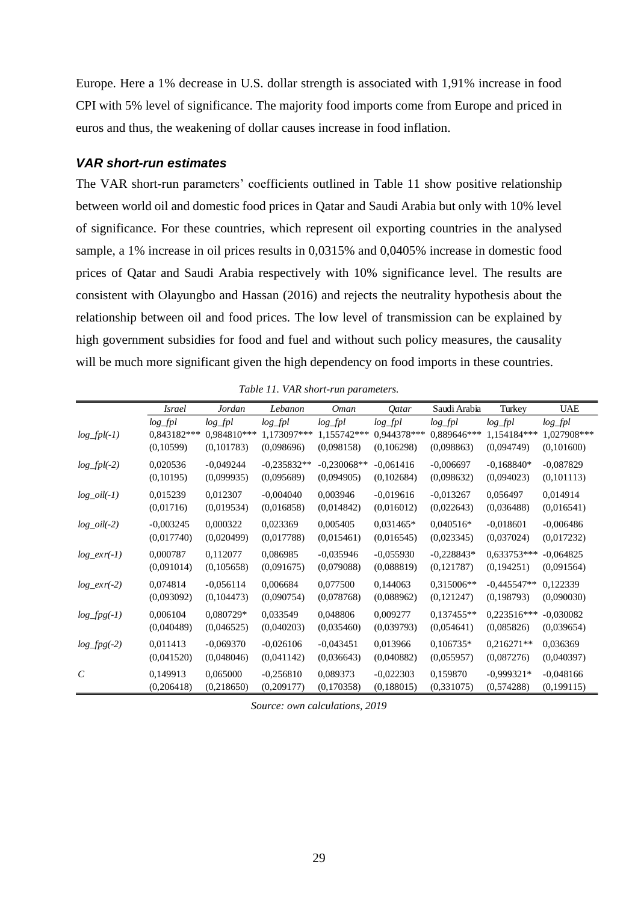Europe. Here a 1% decrease in U.S. dollar strength is associated with 1,91% increase in food CPI with 5% level of significance. The majority food imports come from Europe and priced in euros and thus, the weakening of dollar causes increase in food inflation.

#### *VAR short-run estimates*

The VAR short-run parameters' coefficients outlined in Table 11 show positive relationship between world oil and domestic food prices in Qatar and Saudi Arabia but only with 10% level of significance. For these countries, which represent oil exporting countries in the analysed sample, a 1% increase in oil prices results in 0,0315% and 0,0405% increase in domestic food prices of Qatar and Saudi Arabia respectively with 10% significance level. The results are consistent with Olayungbo and Hassan (2016) and rejects the neutrality hypothesis about the relationship between oil and food prices. The low level of transmission can be explained by high government subsidies for food and fuel and without such policy measures, the causality will be much more significant given the high dependency on food imports in these countries.

<span id="page-36-0"></span>

|                       | <i>Israel</i> | Jordan      | Lebanon       | Oman          | <i><u>Oatar</u></i> | Saudi Arabia | Turkey        | <b>UAE</b>  |
|-----------------------|---------------|-------------|---------------|---------------|---------------------|--------------|---------------|-------------|
|                       | $log_f pl$    | $log_f pl$  | $log_f pl$    | $log_f pl$    | $log_f pl$          | $log_f pl$   | $log_f pl$    | $log_fpl$   |
| $log_fpl(-1)$         | 0,843182***   | 0,984810*** | 1,173097***   | 1,155742***   | 0,944378***         | 0,889646***  | 1,154184***   | 1,027908*** |
|                       | (0,10599)     | (0,101783)  | (0,098696)    | (0,098158)    | (0,106298)          | (0,098863)   | (0,094749)    | (0,101600)  |
| $log_fpl(-2)$         | 0,020536      | $-0.049244$ | $-0,235832**$ | $-0.230068**$ | $-0.061416$         | $-0,006697$  | $-0.168840*$  | $-0.087829$ |
|                       | (0,10195)     | (0,099935)  | (0,095689)    | (0,094905)    | (0,102684)          | (0,098632)   | (0,094023)    | (0,101113)  |
| $log\_oil(-1)$        | 0,015239      | 0,012307    | $-0,004040$   | 0,003946      | $-0.019616$         | $-0.013267$  | 0,056497      | 0,014914    |
|                       | (0,01716)     | (0,019534)  | (0,016858)    | (0,014842)    | (0,016012)          | (0,022643)   | (0,036488)    | (0,016541)  |
| $log\_oil(-2)$        | $-0,003245$   | 0,000322    | 0,023369      | 0,005405      | $0.031465*$         | $0,040516*$  | $-0.018601$   | $-0,006486$ |
|                       | (0,017740)    | (0,020499)  | (0,017788)    | (0,015461)    | (0,016545)          | (0,023345)   | (0,037024)    | (0,017232)  |
| $log\_exr(-1)$        | 0,000787      | 0,112077    | 0,086985      | $-0.035946$   | $-0.055930$         | $-0,228843*$ | $0.633753***$ | $-0.064825$ |
|                       | (0,091014)    | (0,105658)  | (0,091675)    | (0,079088)    | (0,088819)          | (0,121787)   | (0,194251)    | (0,091564)  |
| $log\_exr(-2)$        | 0,074814      | $-0.056114$ | 0,006684      | 0,077500      | 0,144063            | 0,315006**   | $-0.445547**$ | 0,122339    |
|                       | (0,093092)    | (0,104473)  | (0,090754)    | (0,078768)    | (0,088962)          | (0,121247)   | (0,198793)    | (0,090030)  |
| $log\_fpg(-1)$        | 0,006104      | 0,080729*   | 0,033549      | 0,048806      | 0,009277            | $0,137455**$ | $0,223516***$ | $-0.030082$ |
|                       | (0,040489)    | (0,046525)  | (0,040203)    | (0,035460)    | (0,039793)          | (0,054641)   | (0,085826)    | (0,039654)  |
| $log\_fpg(-2)$        | 0,011413      | $-0.069370$ | $-0,026106$   | $-0.043451$   | 0.013966            | $0,106735*$  | $0,216271**$  | 0,036369    |
|                       | (0,041520)    | (0,048046)  | (0,041142)    | (0,036643)    | (0,040882)          | (0,055957)   | (0,087276)    | (0,040397)  |
| $\mathcal{C}_{0}^{0}$ | 0,149913      | 0,065000    | $-0,256810$   | 0,089373      | $-0,022303$         | 0,159870     | $-0.999321*$  | $-0,048166$ |
|                       | (0,206418)    | (0,218650)  | (0,209177)    | (0,170358)    | (0,188015)          | (0,331075)   | (0,574288)    | (0,199115)  |

*Table 11. VAR short-run parameters.*

*Source: own calculations, 2019*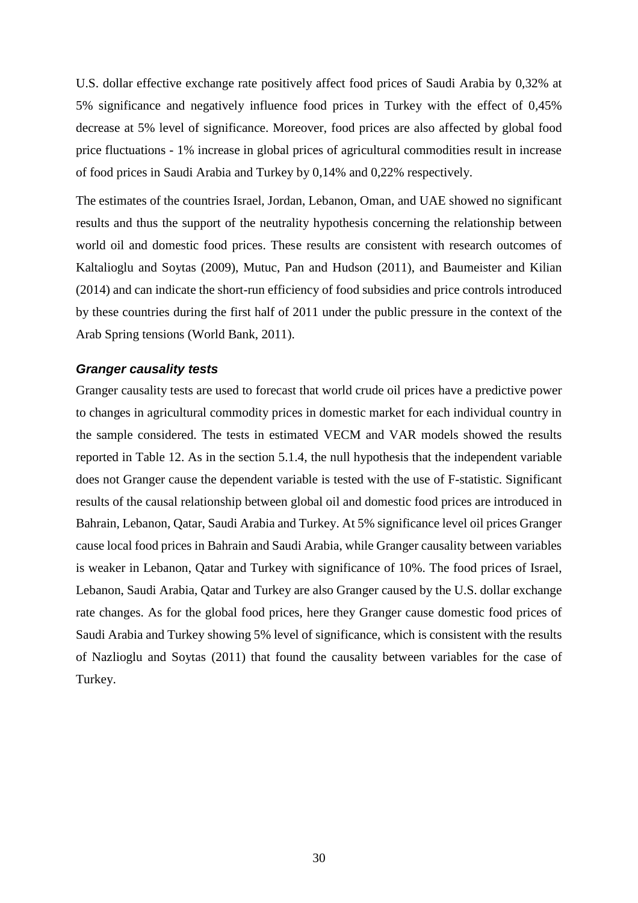U.S. dollar effective exchange rate positively affect food prices of Saudi Arabia by 0,32% at 5% significance and negatively influence food prices in Turkey with the effect of 0,45% decrease at 5% level of significance. Moreover, food prices are also affected by global food price fluctuations - 1% increase in global prices of agricultural commodities result in increase of food prices in Saudi Arabia and Turkey by 0,14% and 0,22% respectively.

The estimates of the countries Israel, Jordan, Lebanon, Oman, and UAE showed no significant results and thus the support of the neutrality hypothesis concerning the relationship between world oil and domestic food prices. These results are consistent with research outcomes of Kaltalioglu and Soytas (2009), Mutuc, Pan and Hudson (2011), and Baumeister and Kilian (2014) and can indicate the short-run efficiency of food subsidies and price controls introduced by these countries during the first half of 2011 under the public pressure in the context of the Arab Spring tensions (World Bank, 2011).

#### *Granger causality tests*

Granger causality tests are used to forecast that world crude oil prices have a predictive power to changes in agricultural commodity prices in domestic market for each individual country in the sample considered. The tests in estimated VECM and VAR models showed the results reported in Table 12. As in the section 5.1.4, the null hypothesis that the independent variable does not Granger cause the dependent variable is tested with the use of F-statistic. Significant results of the causal relationship between global oil and domestic food prices are introduced in Bahrain, Lebanon, Qatar, Saudi Arabia and Turkey. At 5% significance level oil prices Granger cause local food prices in Bahrain and Saudi Arabia, while Granger causality between variables is weaker in Lebanon, Qatar and Turkey with significance of 10%. The food prices of Israel, Lebanon, Saudi Arabia, Qatar and Turkey are also Granger caused by the U.S. dollar exchange rate changes. As for the global food prices, here they Granger cause domestic food prices of Saudi Arabia and Turkey showing 5% level of significance, which is consistent with the results of Nazlioglu and Soytas (2011) that found the causality between variables for the case of Turkey.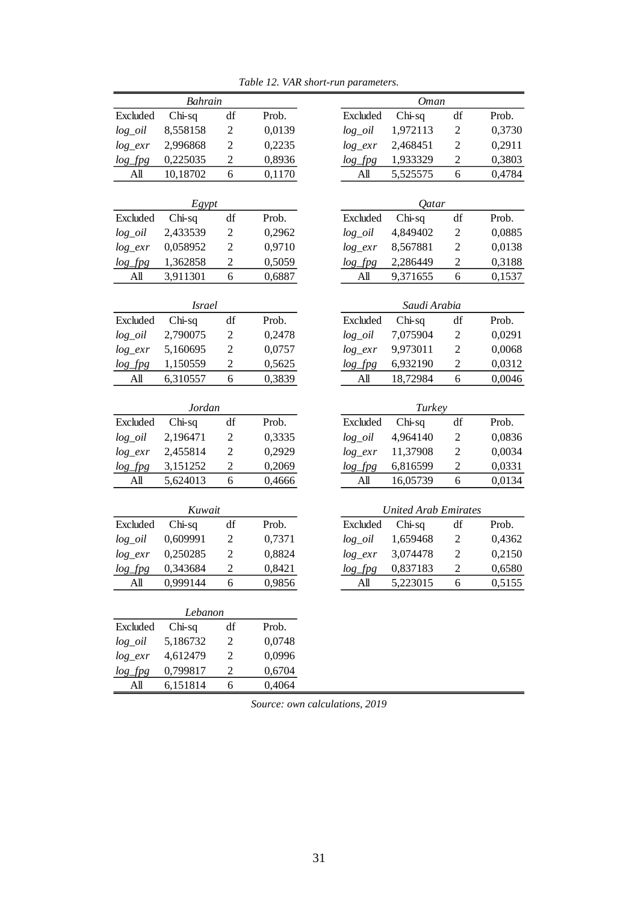<span id="page-38-0"></span>

|                   | Bahrain       |                  |        |                          | Oman                        |                         |
|-------------------|---------------|------------------|--------|--------------------------|-----------------------------|-------------------------|
| Excluded          | $Chi-sq$      | df               | Prob.  | Excluded                 | $Chi-sq$                    | df                      |
| $log\_oil$        | 8,558158      | $\overline{2}$   | 0,0139 | $log\_oil$               | 1,972113                    | $\overline{c}$          |
| $log\_exr$        | 2,996868      | $\overline{c}$   | 0,2235 | $log\_exr$               | 2,468451                    | $\overline{c}$          |
| $log\_fpg$        | 0,225035      | $\overline{c}$   | 0,8936 | $log\_fpg$               | 1,933329                    | $\overline{c}$          |
| All               | 10,18702      | 6                | 0,1170 | All                      | 5,525575                    | 6                       |
|                   | Egypt         |                  |        |                          | Qatar                       |                         |
| Excluded          | Chi-sq        | df               | Prob.  | Excluded                 | $Chi-sq$                    | df                      |
|                   | 2,433539      | $\overline{c}$   | 0,2962 |                          | 4,849402                    | $\overline{c}$          |
| $log\_oil$        | 0,058952      | $\overline{c}$   | 0,9710 | $log\_oil$<br>$log\_exr$ | 8,567881                    | $\overline{2}$          |
| $log\_exr$        | 1,362858      | $\overline{2}$   |        |                          | 2,286449                    | $\overline{2}$          |
| $log\_fpg$<br>All |               | 6                | 0,5059 | $log\_fpg$<br>All        |                             | 6                       |
|                   | 3,911301      |                  | 0,6887 |                          | 9,371655                    |                         |
|                   | <i>Israel</i> |                  |        |                          | Saudi Arabia                |                         |
| Excluded          | Chi-sq        | df               | Prob.  | Excluded                 | $Chi-sq$                    | df                      |
| $log\_oil$        | 2,790075      | $\overline{c}$   | 0,2478 | $log\_oil$               | 7,075904                    | $\overline{\mathbf{c}}$ |
| $log\_exr$        | 5,160695      | $\overline{2}$   | 0,0757 | $log\_exr$<br>9,973011   |                             | $\overline{c}$          |
| $log\_fig$        | 1,150559      | $\overline{c}$   | 0,5625 | $log\_fpg$               | 6,932190                    | $\overline{c}$          |
| All               | 6,310557      | 6                | 0,3839 | All                      | 18,72984                    | 6                       |
|                   | <b>Jordan</b> |                  |        |                          | Turkey                      |                         |
| Excluded          | Chi-sq        | df               | Prob.  | Excluded                 | Chi-sq                      | df                      |
| $log\_oil$        | 2,196471      | $\boldsymbol{2}$ | 0,3335 | $log\_oil$               | 4,964140                    | 2                       |
| $log\_exr$        | 2,455814      | $\mathfrak{2}$   | 0,2929 | $log\_exr$               | 11,37908                    | $\overline{c}$          |
| $log\_fpg$        | 3,151252      | $\overline{c}$   | 0,2069 | $log\_fpg$               | 6,816599                    | $\overline{c}$          |
| All               | 5,624013      | 6                | 0,4666 | A <sub>II</sub>          | 16,05739                    | 6                       |
|                   |               |                  |        |                          |                             |                         |
|                   | Kuwait        |                  |        |                          | <b>United Arab Emirates</b> |                         |
| Excluded          | Chi-sq        | df               | Prob.  | Excluded                 | $Chi-sq$                    | df                      |
| $log\_oil$        | 0,609991      | $\overline{c}$   | 0,7371 | $log\_oil$               | 1,659468                    | $\overline{\mathbf{c}}$ |
| $log\_exr$        | 0,250285      | $\overline{2}$   | 0,8824 | $log\_exr$               | 3,074478                    | $\overline{c}$          |
| $log\_fpg$        | 0,343684      | $\overline{c}$   | 0,8421 | $log\_fpg$               | 0,837183                    | $\overline{2}$          |
| All               | 0,999144      | 6                | 0,9856 | All                      | 5,223015                    | 6                       |
|                   | Lebanon       |                  |        |                          |                             |                         |
| Excluded          | Chi-sq        | df               | Prob.  |                          |                             |                         |
| $log\_oil$        | 5,186732      | $\overline{c}$   | 0,0748 |                          |                             |                         |
| $log\_exr$        | 4,612479      | $\mathfrak{2}$   | 0,0996 |                          |                             |                         |
| $log\_fpg$        | 0,799817      | $\overline{2}$   | 0,6704 |                          |                             |                         |
| All               | 6,151814      | 6                | 0,4064 |                          |                             |                         |

*Table 12. VAR short-run parameters.*

*Source: own calculations, 2019*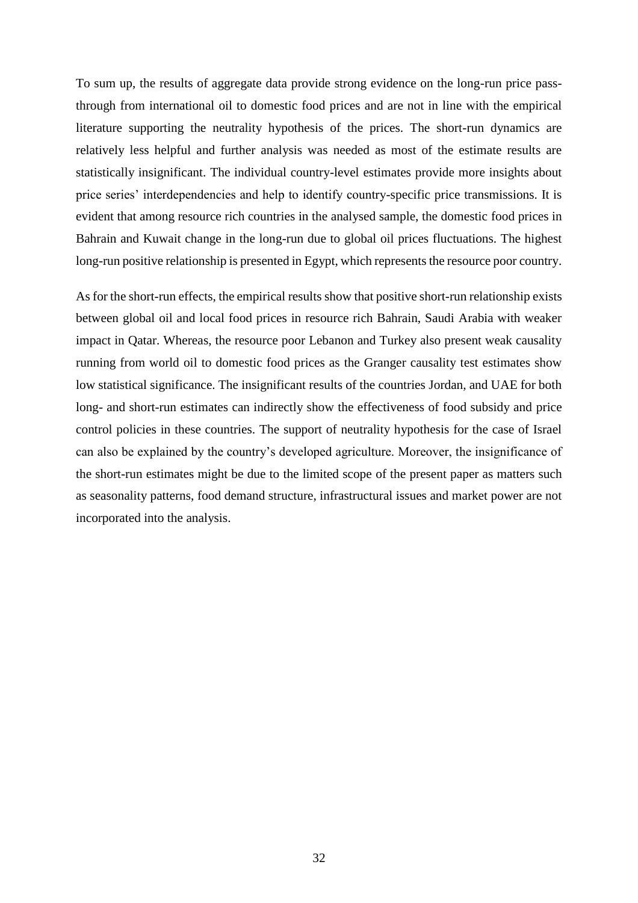To sum up, the results of aggregate data provide strong evidence on the long-run price passthrough from international oil to domestic food prices and are not in line with the empirical literature supporting the neutrality hypothesis of the prices. The short-run dynamics are relatively less helpful and further analysis was needed as most of the estimate results are statistically insignificant. The individual country-level estimates provide more insights about price series' interdependencies and help to identify country-specific price transmissions. It is evident that among resource rich countries in the analysed sample, the domestic food prices in Bahrain and Kuwait change in the long-run due to global oil prices fluctuations. The highest long-run positive relationship is presented in Egypt, which represents the resource poor country.

As for the short-run effects, the empirical results show that positive short-run relationship exists between global oil and local food prices in resource rich Bahrain, Saudi Arabia with weaker impact in Qatar. Whereas, the resource poor Lebanon and Turkey also present weak causality running from world oil to domestic food prices as the Granger causality test estimates show low statistical significance. The insignificant results of the countries Jordan, and UAE for both long- and short-run estimates can indirectly show the effectiveness of food subsidy and price control policies in these countries. The support of neutrality hypothesis for the case of Israel can also be explained by the country's developed agriculture. Moreover, the insignificance of the short-run estimates might be due to the limited scope of the present paper as matters such as seasonality patterns, food demand structure, infrastructural issues and market power are not incorporated into the analysis.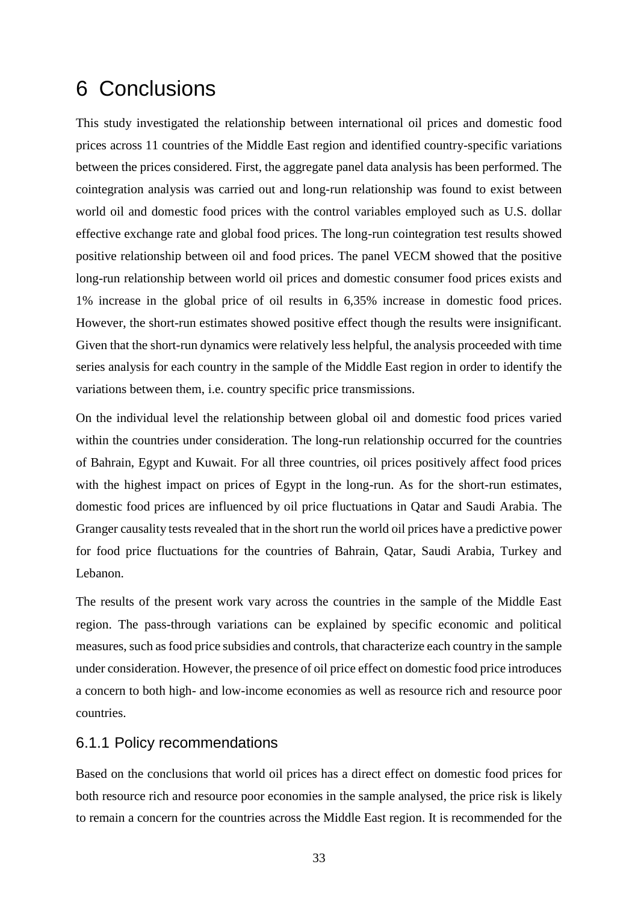## <span id="page-40-0"></span>6 Conclusions

This study investigated the relationship between international oil prices and domestic food prices across 11 countries of the Middle East region and identified country-specific variations between the prices considered. First, the aggregate panel data analysis has been performed. The cointegration analysis was carried out and long-run relationship was found to exist between world oil and domestic food prices with the control variables employed such as U.S. dollar effective exchange rate and global food prices. The long-run cointegration test results showed positive relationship between oil and food prices. The panel VECM showed that the positive long-run relationship between world oil prices and domestic consumer food prices exists and 1% increase in the global price of oil results in 6,35% increase in domestic food prices. However, the short-run estimates showed positive effect though the results were insignificant. Given that the short-run dynamics were relatively less helpful, the analysis proceeded with time series analysis for each country in the sample of the Middle East region in order to identify the variations between them, i.e. country specific price transmissions.

On the individual level the relationship between global oil and domestic food prices varied within the countries under consideration. The long-run relationship occurred for the countries of Bahrain, Egypt and Kuwait. For all three countries, oil prices positively affect food prices with the highest impact on prices of Egypt in the long-run. As for the short-run estimates, domestic food prices are influenced by oil price fluctuations in Qatar and Saudi Arabia. The Granger causality tests revealed that in the short run the world oil prices have a predictive power for food price fluctuations for the countries of Bahrain, Qatar, Saudi Arabia, Turkey and Lebanon.

The results of the present work vary across the countries in the sample of the Middle East region. The pass-through variations can be explained by specific economic and political measures, such as food price subsidies and controls, that characterize each country in the sample under consideration. However, the presence of oil price effect on domestic food price introduces a concern to both high- and low-income economies as well as resource rich and resource poor countries.

### <span id="page-40-1"></span>6.1.1 Policy recommendations

Based on the conclusions that world oil prices has a direct effect on domestic food prices for both resource rich and resource poor economies in the sample analysed, the price risk is likely to remain a concern for the countries across the Middle East region. It is recommended for the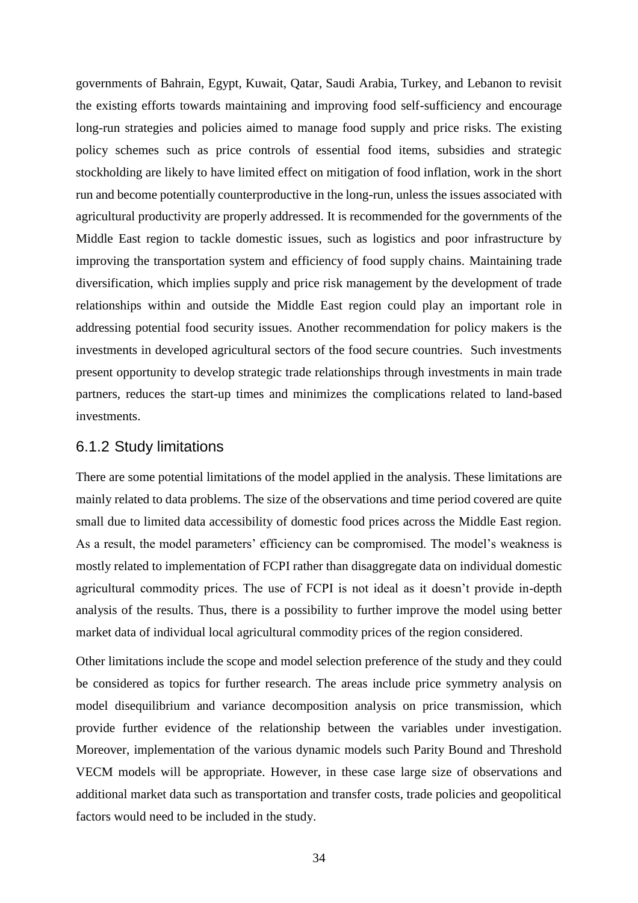governments of Bahrain, Egypt, Kuwait, Qatar, Saudi Arabia, Turkey, and Lebanon to revisit the existing efforts towards maintaining and improving food self-sufficiency and encourage long-run strategies and policies aimed to manage food supply and price risks. The existing policy schemes such as price controls of essential food items, subsidies and strategic stockholding are likely to have limited effect on mitigation of food inflation, work in the short run and become potentially counterproductive in the long-run, unless the issues associated with agricultural productivity are properly addressed. It is recommended for the governments of the Middle East region to tackle domestic issues, such as logistics and poor infrastructure by improving the transportation system and efficiency of food supply chains. Maintaining trade diversification, which implies supply and price risk management by the development of trade relationships within and outside the Middle East region could play an important role in addressing potential food security issues. Another recommendation for policy makers is the investments in developed agricultural sectors of the food secure countries. Such investments present opportunity to develop strategic trade relationships through investments in main trade partners, reduces the start-up times and minimizes the complications related to land-based investments.

### <span id="page-41-0"></span>6.1.2 Study limitations

There are some potential limitations of the model applied in the analysis. These limitations are mainly related to data problems. The size of the observations and time period covered are quite small due to limited data accessibility of domestic food prices across the Middle East region. As a result, the model parameters' efficiency can be compromised. The model's weakness is mostly related to implementation of FCPI rather than disaggregate data on individual domestic agricultural commodity prices. The use of FCPI is not ideal as it doesn't provide in-depth analysis of the results. Thus, there is a possibility to further improve the model using better market data of individual local agricultural commodity prices of the region considered.

Other limitations include the scope and model selection preference of the study and they could be considered as topics for further research. The areas include price symmetry analysis on model disequilibrium and variance decomposition analysis on price transmission, which provide further evidence of the relationship between the variables under investigation. Moreover, implementation of the various dynamic models such Parity Bound and Threshold VECM models will be appropriate. However, in these case large size of observations and additional market data such as transportation and transfer costs, trade policies and geopolitical factors would need to be included in the study.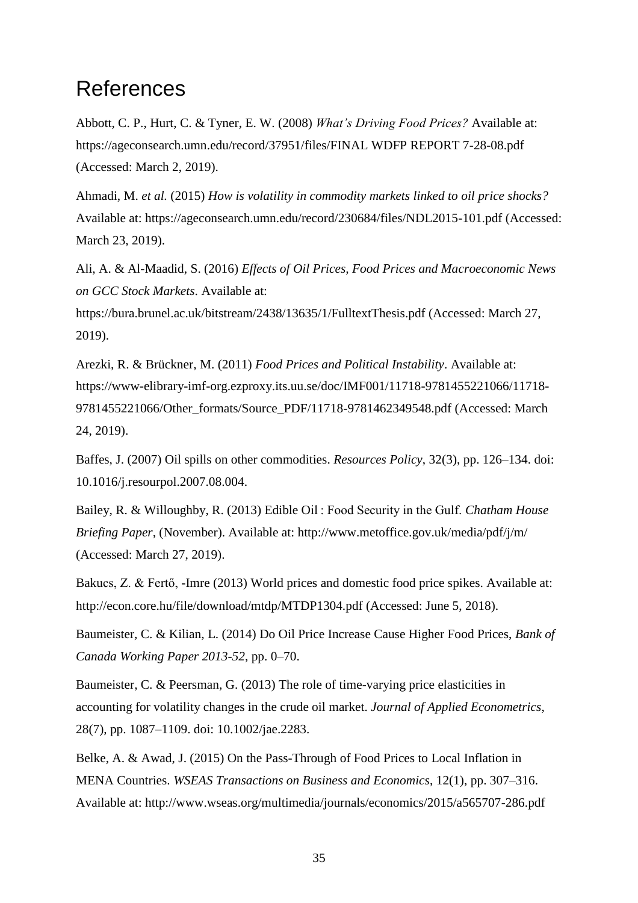## <span id="page-42-0"></span>References

Abbott, C. P., Hurt, C. & Tyner, E. W. (2008) *What's Driving Food Prices?* Available at: https://ageconsearch.umn.edu/record/37951/files/FINAL WDFP REPORT 7-28-08.pdf (Accessed: March 2, 2019).

Ahmadi, M. *et al.* (2015) *How is volatility in commodity markets linked to oil price shocks?* Available at: https://ageconsearch.umn.edu/record/230684/files/NDL2015-101.pdf (Accessed: March 23, 2019).

Ali, A. & Al-Maadid, S. (2016) *Effects of Oil Prices, Food Prices and Macroeconomic News on GCC Stock Markets*. Available at:

https://bura.brunel.ac.uk/bitstream/2438/13635/1/FulltextThesis.pdf (Accessed: March 27, 2019).

Arezki, R. & Brückner, M. (2011) *Food Prices and Political Instability*. Available at: https://www-elibrary-imf-org.ezproxy.its.uu.se/doc/IMF001/11718-9781455221066/11718- 9781455221066/Other\_formats/Source\_PDF/11718-9781462349548.pdf (Accessed: March 24, 2019).

Baffes, J. (2007) Oil spills on other commodities. *Resources Policy*, 32(3), pp. 126–134. doi: 10.1016/j.resourpol.2007.08.004.

Bailey, R. & Willoughby, R. (2013) Edible Oil : Food Security in the Gulf. *Chatham House Briefing Paper*, (November). Available at: http://www.metoffice.gov.uk/media/pdf/j/m/ (Accessed: March 27, 2019).

Bakucs, Z. & Fertő, -Imre (2013) World prices and domestic food price spikes. Available at: http://econ.core.hu/file/download/mtdp/MTDP1304.pdf (Accessed: June 5, 2018).

Baumeister, C. & Kilian, L. (2014) Do Oil Price Increase Cause Higher Food Prices, *Bank of Canada Working Paper 2013-52*, pp. 0–70.

Baumeister, C. & Peersman, G. (2013) The role of time-varying price elasticities in accounting for volatility changes in the crude oil market. *Journal of Applied Econometrics*, 28(7), pp. 1087–1109. doi: 10.1002/jae.2283.

Belke, A. & Awad, J. (2015) On the Pass-Through of Food Prices to Local Inflation in MENA Countries. *WSEAS Transactions on Business and Economics*, 12(1), pp. 307–316. Available at: http://www.wseas.org/multimedia/journals/economics/2015/a565707-286.pdf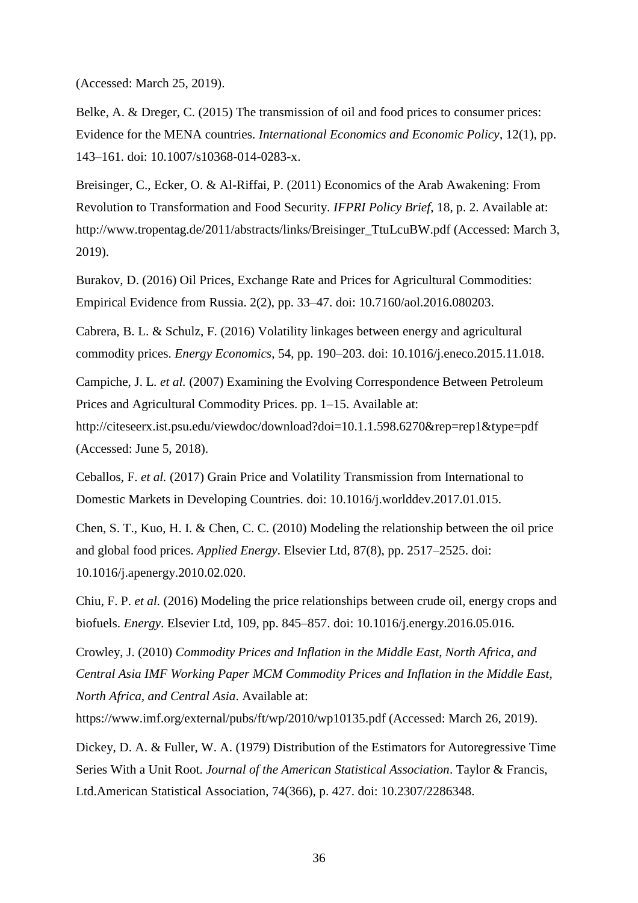(Accessed: March 25, 2019).

Belke, A. & Dreger, C. (2015) The transmission of oil and food prices to consumer prices: Evidence for the MENA countries. *International Economics and Economic Policy*, 12(1), pp. 143–161. doi: 10.1007/s10368-014-0283-x.

Breisinger, C., Ecker, O. & Al-Riffai, P. (2011) Economics of the Arab Awakening: From Revolution to Transformation and Food Security. *IFPRI Policy Brief*, 18, p. 2. Available at: http://www.tropentag.de/2011/abstracts/links/Breisinger\_TtuLcuBW.pdf (Accessed: March 3, 2019).

Burakov, D. (2016) Oil Prices, Exchange Rate and Prices for Agricultural Commodities: Empirical Evidence from Russia. 2(2), pp. 33–47. doi: 10.7160/aol.2016.080203.

Cabrera, B. L. & Schulz, F. (2016) Volatility linkages between energy and agricultural commodity prices. *Energy Economics*, 54, pp. 190–203. doi: 10.1016/j.eneco.2015.11.018.

Campiche, J. L. *et al.* (2007) Examining the Evolving Correspondence Between Petroleum Prices and Agricultural Commodity Prices. pp. 1–15. Available at:

http://citeseerx.ist.psu.edu/viewdoc/download?doi=10.1.1.598.6270&rep=rep1&type=pdf (Accessed: June 5, 2018).

Ceballos, F. *et al.* (2017) Grain Price and Volatility Transmission from International to Domestic Markets in Developing Countries. doi: 10.1016/j.worlddev.2017.01.015.

Chen, S. T., Kuo, H. I. & Chen, C. C. (2010) Modeling the relationship between the oil price and global food prices. *Applied Energy*. Elsevier Ltd, 87(8), pp. 2517–2525. doi: 10.1016/j.apenergy.2010.02.020.

Chiu, F. P. *et al.* (2016) Modeling the price relationships between crude oil, energy crops and biofuels. *Energy*. Elsevier Ltd, 109, pp. 845–857. doi: 10.1016/j.energy.2016.05.016.

Crowley, J. (2010) *Commodity Prices and Inflation in the Middle East, North Africa, and Central Asia IMF Working Paper MCM Commodity Prices and Inflation in the Middle East, North Africa, and Central Asia*. Available at:

https://www.imf.org/external/pubs/ft/wp/2010/wp10135.pdf (Accessed: March 26, 2019).

Dickey, D. A. & Fuller, W. A. (1979) Distribution of the Estimators for Autoregressive Time Series With a Unit Root. *Journal of the American Statistical Association*. Taylor & Francis, Ltd.American Statistical Association, 74(366), p. 427. doi: 10.2307/2286348.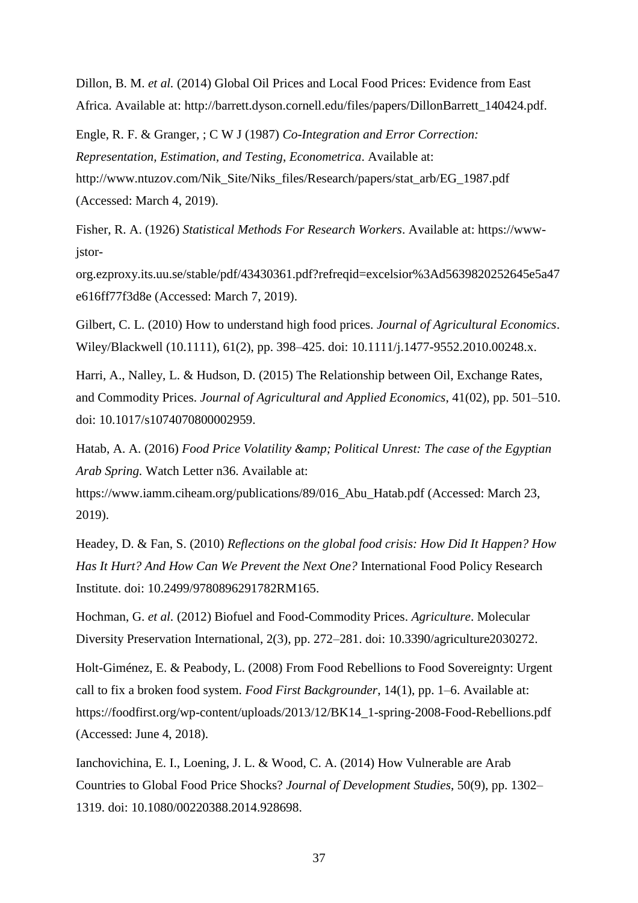Dillon, B. M. *et al.* (2014) Global Oil Prices and Local Food Prices: Evidence from East Africa. Available at: http://barrett.dyson.cornell.edu/files/papers/DillonBarrett\_140424.pdf.

Engle, R. F. & Granger, ; C W J (1987) *Co-Integration and Error Correction: Representation, Estimation, and Testing*, *Econometrica*. Available at: http://www.ntuzov.com/Nik\_Site/Niks\_files/Research/papers/stat\_arb/EG\_1987.pdf (Accessed: March 4, 2019).

Fisher, R. A. (1926) *Statistical Methods For Research Workers*. Available at: https://wwwjstor-

org.ezproxy.its.uu.se/stable/pdf/43430361.pdf?refreqid=excelsior%3Ad5639820252645e5a47 e616ff77f3d8e (Accessed: March 7, 2019).

Gilbert, C. L. (2010) How to understand high food prices. *Journal of Agricultural Economics*. Wiley/Blackwell (10.1111), 61(2), pp. 398–425. doi: 10.1111/j.1477-9552.2010.00248.x.

Harri, A., Nalley, L. & Hudson, D. (2015) The Relationship between Oil, Exchange Rates, and Commodity Prices. *Journal of Agricultural and Applied Economics*, 41(02), pp. 501–510. doi: 10.1017/s1074070800002959.

Hatab, A. A. (2016) *Food Price Volatility & amp*; *Political Unrest: The case of the Egyptian Arab Spring.* Watch Letter n36. Available at:

https://www.iamm.ciheam.org/publications/89/016\_Abu\_Hatab.pdf (Accessed: March 23, 2019).

Headey, D. & Fan, S. (2010) *Reflections on the global food crisis: How Did It Happen? How Has It Hurt? And How Can We Prevent the Next One?* International Food Policy Research Institute. doi: 10.2499/9780896291782RM165.

Hochman, G. *et al.* (2012) Biofuel and Food-Commodity Prices. *Agriculture*. Molecular Diversity Preservation International, 2(3), pp. 272–281. doi: 10.3390/agriculture2030272.

Holt-Giménez, E. & Peabody, L. (2008) From Food Rebellions to Food Sovereignty: Urgent call to fix a broken food system. *Food First Backgrounder*, 14(1), pp. 1–6. Available at: https://foodfirst.org/wp-content/uploads/2013/12/BK14\_1-spring-2008-Food-Rebellions.pdf (Accessed: June 4, 2018).

Ianchovichina, E. I., Loening, J. L. & Wood, C. A. (2014) How Vulnerable are Arab Countries to Global Food Price Shocks? *Journal of Development Studies*, 50(9), pp. 1302– 1319. doi: 10.1080/00220388.2014.928698.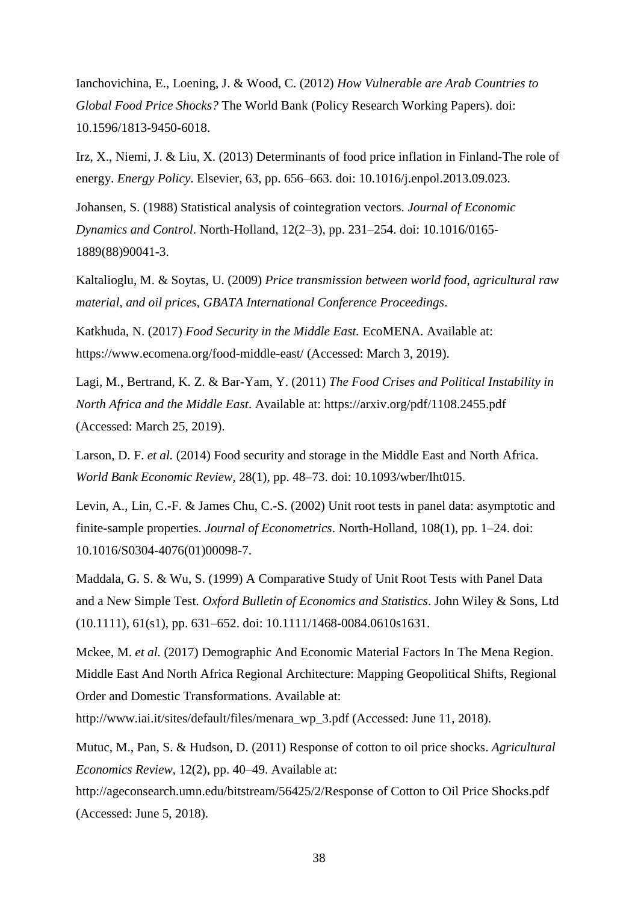Ianchovichina, E., Loening, J. & Wood, C. (2012) *How Vulnerable are Arab Countries to Global Food Price Shocks?* The World Bank (Policy Research Working Papers). doi: 10.1596/1813-9450-6018.

Irz, X., Niemi, J. & Liu, X. (2013) Determinants of food price inflation in Finland-The role of energy. *Energy Policy*. Elsevier, 63, pp. 656–663. doi: 10.1016/j.enpol.2013.09.023.

Johansen, S. (1988) Statistical analysis of cointegration vectors. *Journal of Economic Dynamics and Control*. North-Holland, 12(2–3), pp. 231–254. doi: 10.1016/0165- 1889(88)90041-3.

Kaltalioglu, M. & Soytas, U. (2009) *Price transmission between world food, agricultural raw material, and oil prices*, *GBATA International Conference Proceedings*.

Katkhuda, N. (2017) *Food Security in the Middle East.* EcoMENA*.* Available at: https://www.ecomena.org/food-middle-east/ (Accessed: March 3, 2019).

Lagi, M., Bertrand, K. Z. & Bar-Yam, Y. (2011) *The Food Crises and Political Instability in North Africa and the Middle East*. Available at: https://arxiv.org/pdf/1108.2455.pdf (Accessed: March 25, 2019).

Larson, D. F. *et al.* (2014) Food security and storage in the Middle East and North Africa. *World Bank Economic Review*, 28(1), pp. 48–73. doi: 10.1093/wber/lht015.

Levin, A., Lin, C.-F. & James Chu, C.-S. (2002) Unit root tests in panel data: asymptotic and finite-sample properties. *Journal of Econometrics*. North-Holland, 108(1), pp. 1–24. doi: 10.1016/S0304-4076(01)00098-7.

Maddala, G. S. & Wu, S. (1999) A Comparative Study of Unit Root Tests with Panel Data and a New Simple Test. *Oxford Bulletin of Economics and Statistics*. John Wiley & Sons, Ltd (10.1111), 61(s1), pp. 631–652. doi: 10.1111/1468-0084.0610s1631.

Mckee, M. *et al.* (2017) Demographic And Economic Material Factors In The Mena Region. Middle East And North Africa Regional Architecture: Mapping Geopolitical Shifts, Regional Order and Domestic Transformations. Available at:

http://www.iai.it/sites/default/files/menara\_wp\_3.pdf (Accessed: June 11, 2018).

Mutuc, M., Pan, S. & Hudson, D. (2011) Response of cotton to oil price shocks. *Agricultural Economics Review*, 12(2), pp. 40–49. Available at:

http://ageconsearch.umn.edu/bitstream/56425/2/Response of Cotton to Oil Price Shocks.pdf (Accessed: June 5, 2018).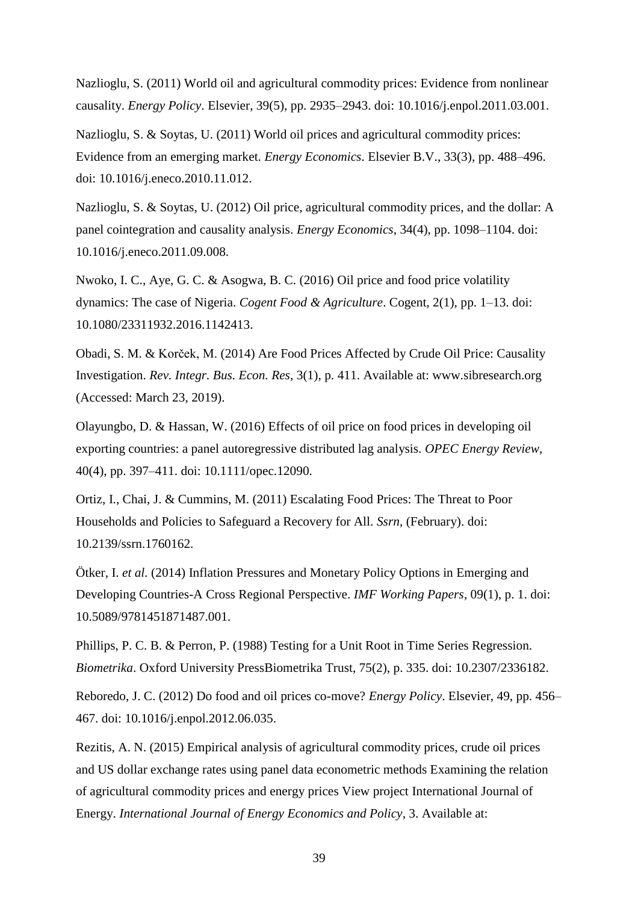Nazlioglu, S. (2011) World oil and agricultural commodity prices: Evidence from nonlinear causality. *Energy Policy*. Elsevier, 39(5), pp. 2935–2943. doi: 10.1016/j.enpol.2011.03.001.

Nazlioglu, S. & Soytas, U. (2011) World oil prices and agricultural commodity prices: Evidence from an emerging market. *Energy Economics*. Elsevier B.V., 33(3), pp. 488–496. doi: 10.1016/j.eneco.2010.11.012.

Nazlioglu, S. & Soytas, U. (2012) Oil price, agricultural commodity prices, and the dollar: A panel cointegration and causality analysis. *Energy Economics*, 34(4), pp. 1098–1104. doi: 10.1016/j.eneco.2011.09.008.

Nwoko, I. C., Aye, G. C. & Asogwa, B. C. (2016) Oil price and food price volatility dynamics: The case of Nigeria. *Cogent Food & Agriculture*. Cogent, 2(1), pp. 1–13. doi: 10.1080/23311932.2016.1142413.

Obadi, S. M. & Korček, M. (2014) Are Food Prices Affected by Crude Oil Price: Causality Investigation. *Rev. Integr. Bus. Econ. Res*, 3(1), p. 411. Available at: www.sibresearch.org (Accessed: March 23, 2019).

Olayungbo, D. & Hassan, W. (2016) Effects of oil price on food prices in developing oil exporting countries: a panel autoregressive distributed lag analysis. *OPEC Energy Review*, 40(4), pp. 397–411. doi: 10.1111/opec.12090.

Ortiz, I., Chai, J. & Cummins, M. (2011) Escalating Food Prices: The Threat to Poor Households and Policies to Safeguard a Recovery for All. *Ssrn*, (February). doi: 10.2139/ssrn.1760162.

Ötker, I. *et al.* (2014) Inflation Pressures and Monetary Policy Options in Emerging and Developing Countries-A Cross Regional Perspective. *IMF Working Papers*, 09(1), p. 1. doi: 10.5089/9781451871487.001.

Phillips, P. C. B. & Perron, P. (1988) Testing for a Unit Root in Time Series Regression. *Biometrika*. Oxford University PressBiometrika Trust, 75(2), p. 335. doi: 10.2307/2336182.

Reboredo, J. C. (2012) Do food and oil prices co-move? *Energy Policy*. Elsevier, 49, pp. 456– 467. doi: 10.1016/j.enpol.2012.06.035.

Rezitis, A. N. (2015) Empirical analysis of agricultural commodity prices, crude oil prices and US dollar exchange rates using panel data econometric methods Examining the relation of agricultural commodity prices and energy prices View project International Journal of Energy. *International Journal of Energy Economics and Policy*, 3. Available at: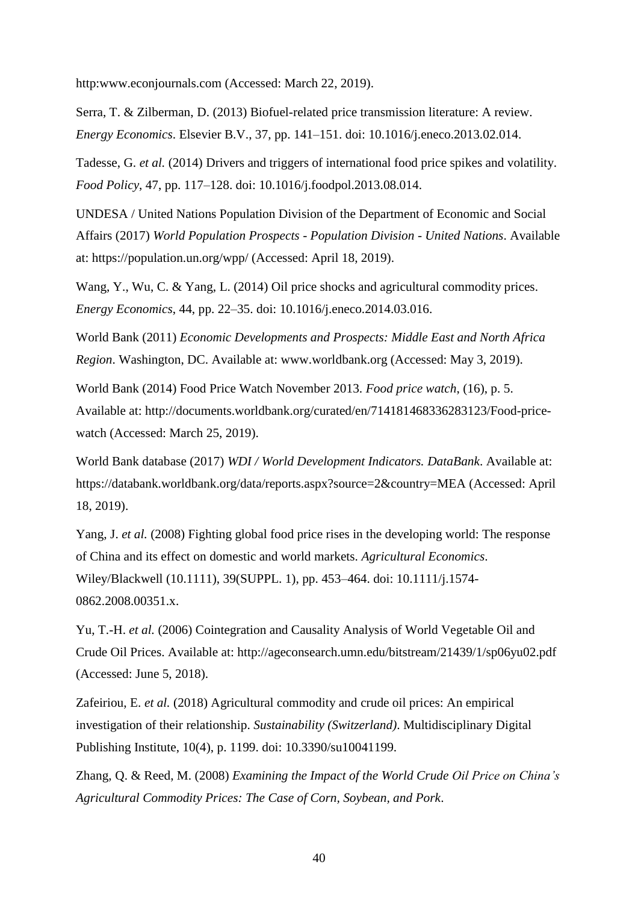http:www.econjournals.com (Accessed: March 22, 2019).

Serra, T. & Zilberman, D. (2013) Biofuel-related price transmission literature: A review. *Energy Economics*. Elsevier B.V., 37, pp. 141–151. doi: 10.1016/j.eneco.2013.02.014.

Tadesse, G. *et al.* (2014) Drivers and triggers of international food price spikes and volatility. *Food Policy*, 47, pp. 117–128. doi: 10.1016/j.foodpol.2013.08.014.

UNDESA / United Nations Population Division of the Department of Economic and Social Affairs (2017) *World Population Prospects - Population Division - United Nations*. Available at: https://population.un.org/wpp/ (Accessed: April 18, 2019).

Wang, Y., Wu, C. & Yang, L. (2014) Oil price shocks and agricultural commodity prices. *Energy Economics*, 44, pp. 22–35. doi: 10.1016/j.eneco.2014.03.016.

World Bank (2011) *Economic Developments and Prospects: Middle East and North Africa Region*. Washington, DC. Available at: www.worldbank.org (Accessed: May 3, 2019).

World Bank (2014) Food Price Watch November 2013. *Food price watch*, (16), p. 5. Available at: http://documents.worldbank.org/curated/en/714181468336283123/Food-pricewatch (Accessed: March 25, 2019).

World Bank database (2017) *WDI / World Development Indicators. DataBank*. Available at: https://databank.worldbank.org/data/reports.aspx?source=2&country=MEA (Accessed: April 18, 2019).

Yang, J. *et al.* (2008) Fighting global food price rises in the developing world: The response of China and its effect on domestic and world markets. *Agricultural Economics*. Wiley/Blackwell (10.1111), 39(SUPPL. 1), pp. 453–464. doi: 10.1111/j.1574- 0862.2008.00351.x.

Yu, T.-H. *et al.* (2006) Cointegration and Causality Analysis of World Vegetable Oil and Crude Oil Prices. Available at: http://ageconsearch.umn.edu/bitstream/21439/1/sp06yu02.pdf (Accessed: June 5, 2018).

Zafeiriou, E. *et al.* (2018) Agricultural commodity and crude oil prices: An empirical investigation of their relationship. *Sustainability (Switzerland)*. Multidisciplinary Digital Publishing Institute, 10(4), p. 1199. doi: 10.3390/su10041199.

Zhang, Q. & Reed, M. (2008) *Examining the Impact of the World Crude Oil Price on China's Agricultural Commodity Prices: The Case of Corn, Soybean, and Pork*.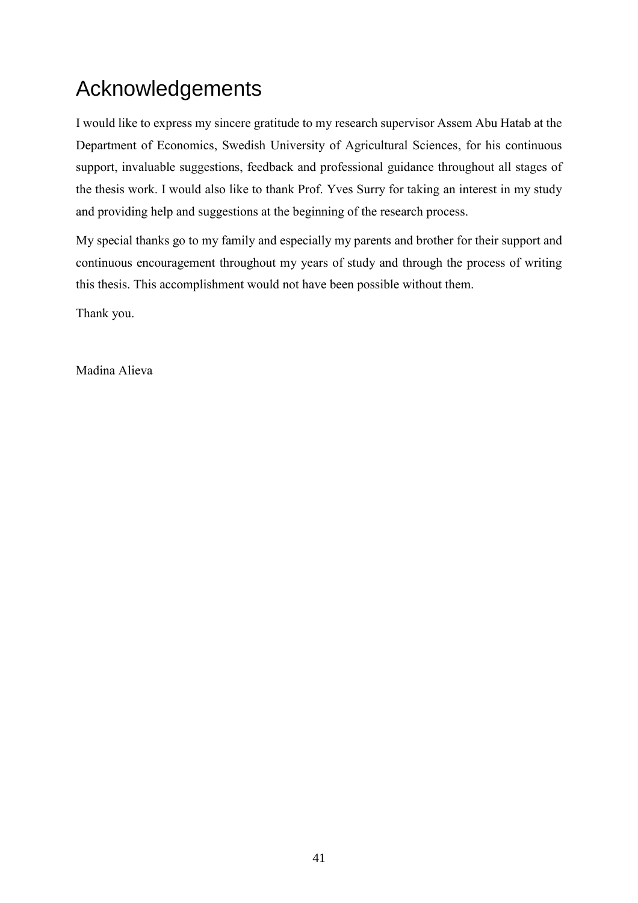# Acknowledgements

I would like to express my sincere gratitude to my research supervisor Assem Abu Hatab at the Department of Economics, Swedish University of Agricultural Sciences, for his continuous support, invaluable suggestions, feedback and professional guidance throughout all stages of the thesis work. I would also like to thank Prof. Yves Surry for taking an interest in my study and providing help and suggestions at the beginning of the research process.

My special thanks go to my family and especially my parents and brother for their support and continuous encouragement throughout my years of study and through the process of writing this thesis. This accomplishment would not have been possible without them.

Thank you.

Madina Alieva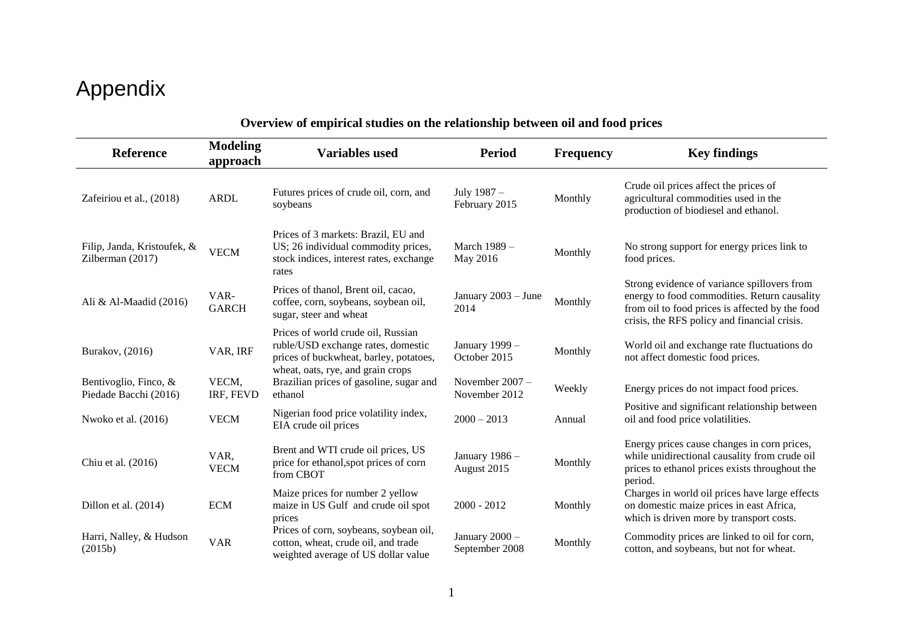# Appendix

<span id="page-49-0"></span>

| Reference                                       | <b>Modeling</b><br>approach | <b>Variables used</b>                                                                                                                                   | <b>Period</b>                      | <b>Frequency</b> | <b>Key findings</b>                                                                                                                                                                            |
|-------------------------------------------------|-----------------------------|---------------------------------------------------------------------------------------------------------------------------------------------------------|------------------------------------|------------------|------------------------------------------------------------------------------------------------------------------------------------------------------------------------------------------------|
| Zafeiriou et al., (2018)                        | <b>ARDL</b>                 | Futures prices of crude oil, corn, and<br>soybeans                                                                                                      | July 1987 -<br>February 2015       | Monthly          | Crude oil prices affect the prices of<br>agricultural commodities used in the<br>production of biodiesel and ethanol.                                                                          |
| Filip, Janda, Kristoufek, &<br>Zilberman (2017) | <b>VECM</b>                 | Prices of 3 markets: Brazil, EU and<br>US; 26 individual commodity prices,<br>stock indices, interest rates, exchange<br>rates                          | March 1989 -<br>May 2016           | Monthly          | No strong support for energy prices link to<br>food prices.                                                                                                                                    |
| Ali & Al-Maadid (2016)                          | VAR-<br><b>GARCH</b>        | Prices of thanol, Brent oil, cacao,<br>coffee, corn, soybeans, soybean oil,<br>sugar, steer and wheat                                                   | January 2003 - June<br>2014        | Monthly          | Strong evidence of variance spillovers from<br>energy to food commodities. Return causality<br>from oil to food prices is affected by the food<br>crisis, the RFS policy and financial crisis. |
| Burakov, (2016)                                 | VAR, IRF                    | Prices of world crude oil, Russian<br>ruble/USD exchange rates, domestic<br>prices of buckwheat, barley, potatoes,<br>wheat, oats, rye, and grain crops | January 1999 -<br>October 2015     | Monthly          | World oil and exchange rate fluctuations do<br>not affect domestic food prices.                                                                                                                |
| Bentivoglio, Finco, &<br>Piedade Bacchi (2016)  | VECM,<br>IRF, FEVD          | Brazilian prices of gasoline, sugar and<br>ethanol                                                                                                      | November $2007 -$<br>November 2012 | Weekly           | Energy prices do not impact food prices.                                                                                                                                                       |
| Nwoko et al. (2016)                             | <b>VECM</b>                 | Nigerian food price volatility index,<br>EIA crude oil prices                                                                                           | $2000 - 2013$                      | Annual           | Positive and significant relationship between<br>oil and food price volatilities.                                                                                                              |
| Chiu et al. (2016)                              | VAR,<br><b>VECM</b>         | Brent and WTI crude oil prices, US<br>price for ethanol, spot prices of corn<br>from CBOT                                                               | January 1986 -<br>August 2015      | Monthly          | Energy prices cause changes in corn prices,<br>while unidirectional causality from crude oil<br>prices to ethanol prices exists throughout the<br>period.                                      |
| Dillon et al. (2014)                            | <b>ECM</b>                  | Maize prices for number 2 yellow<br>maize in US Gulf and crude oil spot<br>prices                                                                       | $2000 - 2012$                      | Monthly          | Charges in world oil prices have large effects<br>on domestic maize prices in east Africa,<br>which is driven more by transport costs.                                                         |
| Harri, Nalley, & Hudson<br>(2015b)              | <b>VAR</b>                  | Prices of corn, soybeans, soybean oil,<br>cotton, wheat, crude oil, and trade<br>weighted average of US dollar value                                    | January 2000 -<br>September 2008   | Monthly          | Commodity prices are linked to oil for corn,<br>cotton, and soybeans, but not for wheat.                                                                                                       |

## **Overview of empirical studies on the relationship between oil and food prices**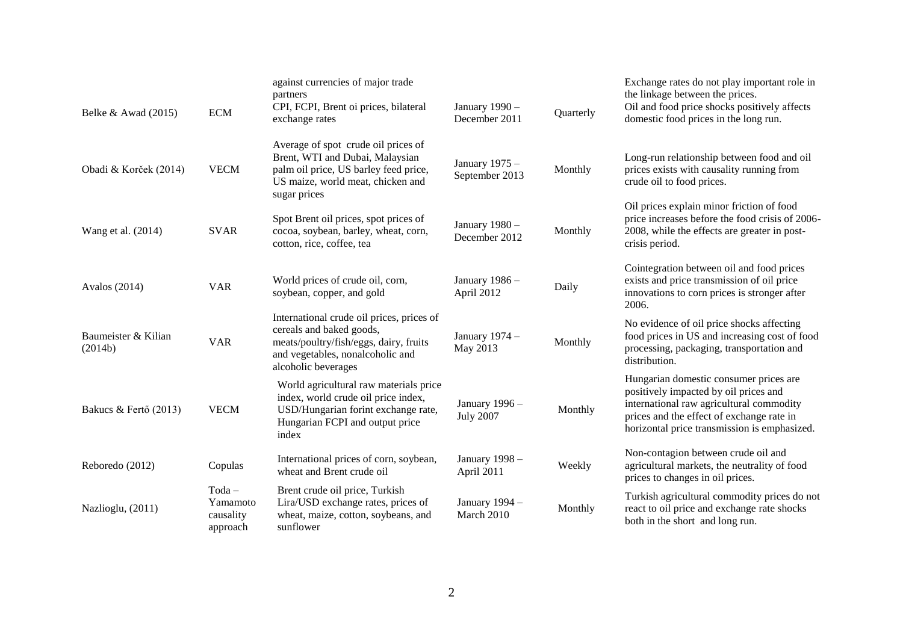| Belke $& A$ wad (2015)         | <b>ECM</b>                                    | against currencies of major trade<br>partners<br>CPI, FCPI, Brent oi prices, bilateral<br>exchange rates                                                                   | January 1990 -<br>December 2011    | Quarterly | Exchange rates do not play important role in<br>the linkage between the prices.<br>Oil and food price shocks positively affects<br>domestic food prices in the long run.                                                 |
|--------------------------------|-----------------------------------------------|----------------------------------------------------------------------------------------------------------------------------------------------------------------------------|------------------------------------|-----------|--------------------------------------------------------------------------------------------------------------------------------------------------------------------------------------------------------------------------|
| Obadi & Korček (2014)          | <b>VECM</b>                                   | Average of spot crude oil prices of<br>Brent, WTI and Dubai, Malaysian<br>palm oil price, US barley feed price,<br>US maize, world meat, chicken and<br>sugar prices       | January 1975 -<br>September 2013   | Monthly   | Long-run relationship between food and oil<br>prices exists with causality running from<br>crude oil to food prices.                                                                                                     |
| Wang et al. (2014)             | <b>SVAR</b>                                   | Spot Brent oil prices, spot prices of<br>cocoa, soybean, barley, wheat, corn,<br>cotton, rice, coffee, tea                                                                 | January 1980 -<br>December 2012    | Monthly   | Oil prices explain minor friction of food<br>price increases before the food crisis of 2006-<br>2008, while the effects are greater in post-<br>crisis period.                                                           |
| Avalos (2014)                  | <b>VAR</b>                                    | World prices of crude oil, corn,<br>soybean, copper, and gold                                                                                                              | January 1986 -<br>April 2012       | Daily     | Cointegration between oil and food prices<br>exists and price transmission of oil price<br>innovations to corn prices is stronger after<br>2006.                                                                         |
| Baumeister & Kilian<br>(2014b) | <b>VAR</b>                                    | International crude oil prices, prices of<br>cereals and baked goods,<br>meats/poultry/fish/eggs, dairy, fruits<br>and vegetables, nonalcoholic and<br>alcoholic beverages | January 1974 -<br>May 2013         | Monthly   | No evidence of oil price shocks affecting<br>food prices in US and increasing cost of food<br>processing, packaging, transportation and<br>distribution.                                                                 |
| Bakucs & Fertő (2013)          | <b>VECM</b>                                   | World agricultural raw materials price<br>index, world crude oil price index,<br>USD/Hungarian forint exchange rate,<br>Hungarian FCPI and output price<br>index           | January 1996 -<br><b>July 2007</b> | Monthly   | Hungarian domestic consumer prices are<br>positively impacted by oil prices and<br>international raw agricultural commodity<br>prices and the effect of exchange rate in<br>horizontal price transmission is emphasized. |
| Reboredo (2012)                | Copulas                                       | International prices of corn, soybean,<br>wheat and Brent crude oil                                                                                                        | January 1998 -<br>April 2011       | Weekly    | Non-contagion between crude oil and<br>agricultural markets, the neutrality of food<br>prices to changes in oil prices.                                                                                                  |
| Nazlioglu, (2011)              | $Toda -$<br>Yamamoto<br>causality<br>approach | Brent crude oil price, Turkish<br>Lira/USD exchange rates, prices of<br>wheat, maize, cotton, soybeans, and<br>sunflower                                                   | January 1994 -<br>March 2010       | Monthly   | Turkish agricultural commodity prices do not<br>react to oil price and exchange rate shocks<br>both in the short and long run.                                                                                           |